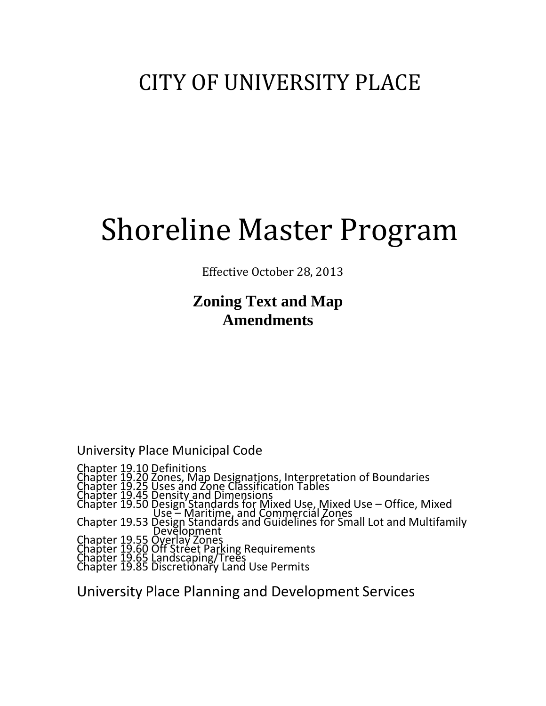## CITY OF UNIVERSITY PLACE

# Shoreline Master Program

Effective October 28, 2013

### **Zoning Text and Map Amendments**

University Place Municipal Code

Chapter 19.10 Definitions Chapter 19.20 Zones, Map Designations, Interpretation of Boundaries Chapter 19.25 Uses and Zone Classification Tables Chapter 19.45 Density and Dimensions Chapter 19.50 Design Standards for Mixed Use, Mixed Use – Office, Mixed Use – Maritime, and Commercial Zones Chapter 19.53 Design Standards and Guidelines for Small Lot and Multifamily Development Chapter 19.55 Overlay Zones Chapter 19.60 Off Street Parking Requirements<br>Chapter 19.65 Landscaping/Trees Chapter 19.85 Discretionary Land Use Permits

University Place Planning and Development Services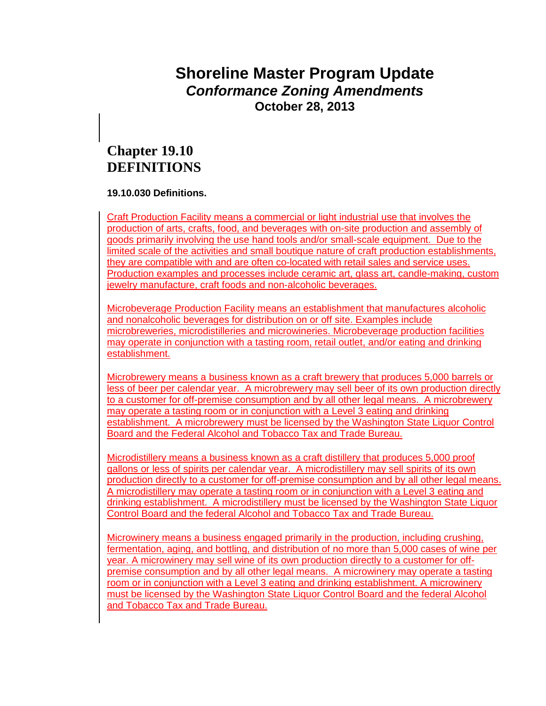### **Shoreline Master Program Update**  *Conformance Zoning Amendments* **October 28, 2013**

### **Chapter 19.10 DEFINITIONS**

#### **19.10.030 Definitions.**

Craft Production Facility means a commercial or light industrial use that involves the production of arts, crafts, food, and beverages with on-site production and assembly of goods primarily involving the use hand tools and/or small-scale equipment. Due to the limited scale of the activities and small boutique nature of craft production establishments, they are compatible with and are often co-located with retail sales and service uses. Production examples and processes include ceramic art, glass art, candle-making, custom jewelry manufacture, craft foods and non-alcoholic beverages.

Microbeverage Production Facility means an establishment that manufactures alcoholic and nonalcoholic beverages for distribution on or off site. Examples include microbreweries, microdistilleries and microwineries. Microbeverage production facilities may operate in conjunction with a tasting room, retail outlet, and/or eating and drinking establishment.

Microbrewery means a business known as a craft brewery that produces 5,000 barrels or less of beer per calendar year. A microbrewery may sell beer of its own production directly to a customer for off-premise consumption and by all other legal means. A microbrewery may operate a tasting room or in conjunction with a Level 3 eating and drinking establishment. A microbrewery must be licensed by the Washington State Liquor Control Board and the Federal Alcohol and Tobacco Tax and Trade Bureau.

Microdistillery means a business known as a craft distillery that produces 5,000 proof gallons or less of spirits per calendar year. A microdistillery may sell spirits of its own production directly to a customer for off-premise consumption and by all other legal means. A microdistillery may operate a tasting room or in conjunction with a Level 3 eating and drinking establishment. A microdistillery must be licensed by the Washington State Liquor Control Board and the federal Alcohol and Tobacco Tax and Trade Bureau.

Microwinery means a business engaged primarily in the production, including crushing, fermentation, aging, and bottling, and distribution of no more than 5,000 cases of wine per year. A microwinery may sell wine of its own production directly to a customer for offpremise consumption and by all other legal means. A microwinery may operate a tasting room or in conjunction with a Level 3 eating and drinking establishment. A microwinery must be licensed by the Washington State Liquor Control Board and the federal Alcohol and Tobacco Tax and Trade Bureau.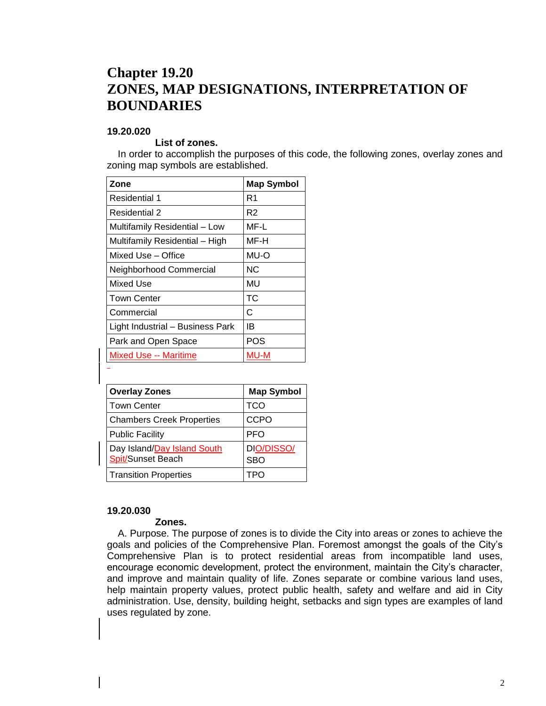### **Chapter 19.20 ZONES, MAP DESIGNATIONS, INTERPRETATION OF BOUNDARIES**

#### **19.20.020**

#### **List of zones.**

In order to accomplish the purposes of this code, the following zones, overlay zones and zoning map symbols are established.

| Zone                             | <b>Map Symbol</b> |
|----------------------------------|-------------------|
| Residential 1                    | R1                |
| Residential 2                    | R2                |
| Multifamily Residential - Low    | MF-L              |
| Multifamily Residential - High   | MF-H              |
| Mixed Use – Office               | MU-O              |
| Neighborhood Commercial          | NС                |
| Mixed Use                        | MU                |
| <b>Town Center</b>               | TC                |
| Commercial                       | C                 |
| Light Industrial - Business Park | IB                |
| Park and Open Space              | POS               |
| Mixed Use -- Maritime            | MU-M              |

| <b>Overlay Zones</b>                             | <b>Map Symbol</b>        |
|--------------------------------------------------|--------------------------|
| <b>Town Center</b>                               | TCO                      |
| <b>Chambers Creek Properties</b>                 | <b>CCPO</b>              |
| <b>Public Facility</b>                           | <b>PFO</b>               |
| Day Island/Day Island South<br>Spit/Sunset Beach | DIO/DISSO/<br><b>SBO</b> |
| <b>Transition Properties</b>                     |                          |

#### **19.20.030**

#### **Zones.**

A. Purpose. The purpose of zones is to divide the City into areas or zones to achieve the goals and policies of the Comprehensive Plan. Foremost amongst the goals of the City's Comprehensive Plan is to protect residential areas from incompatible land uses, encourage economic development, protect the environment, maintain the City's character, and improve and maintain quality of life. Zones separate or combine various land uses, help maintain property values, protect public health, safety and welfare and aid in City administration. Use, density, building height, setbacks and sign types are examples of land uses regulated by zone.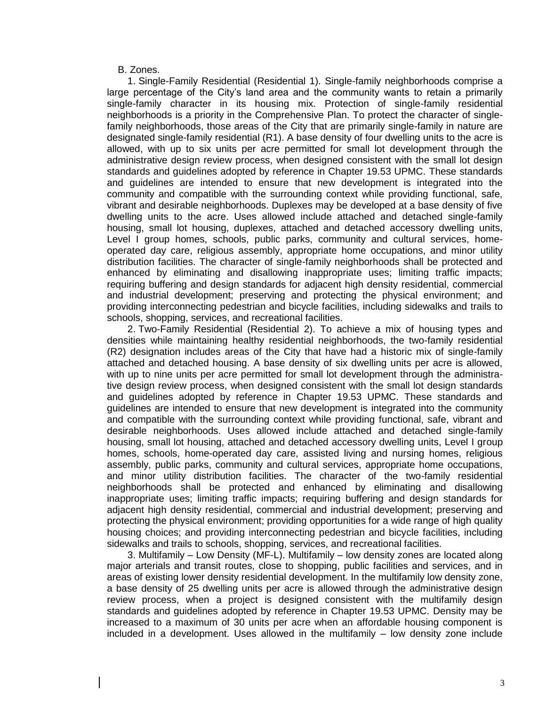B. Zones.

1. Single-Family Residential (Residential 1). Single-family neighborhoods comprise a large percentage of the City's land area and the community wants to retain a primarily single-family character in its housing mix. Protection of single-family residential neighborhoods is a priority in the Comprehensive Plan. To protect the character of singlefamily neighborhoods, those areas of the City that are primarily single-family in nature are designated single-family residential (R1). A base density of four dwelling units to the acre is allowed, with up to six units per acre permitted for small lot development through the administrative design review process, when designed consistent with the small lot design standards and guidelines adopted by reference in Chapter 19.53 UPMC. These standards and guidelines are intended to ensure that new development is integrated into the community and compatible with the surrounding context while providing functional, safe, vibrant and desirable neighborhoods. Duplexes may be developed at a base density of five dwelling units to the acre. Uses allowed include attached and detached single-family housing, small lot housing, duplexes, attached and detached accessory dwelling units, Level I group homes, schools, public parks, community and cultural services, homeoperated day care, religious assembly, appropriate home occupations, and minor utility distribution facilities. The character of single-family neighborhoods shall be protected and enhanced by eliminating and disallowing inappropriate uses; limiting traffic impacts; requiring buffering and design standards for adjacent high density residential, commercial and industrial development; preserving and protecting the physical environment; and providing interconnecting pedestrian and bicycle facilities, including sidewalks and trails to schools, shopping, services, and recreational facilities.

2. Two-Family Residential (Residential 2). To achieve a mix of housing types and densities while maintaining healthy residential neighborhoods, the two-family residential (R2) designation includes areas of the City that have had a historic mix of single-family attached and detached housing. A base density of six dwelling units per acre is allowed, with up to nine units per acre permitted for small lot development through the administrative design review process, when designed consistent with the small lot design standards and guidelines adopted by reference in Chapter 19.53 UPMC. These standards and guidelines are intended to ensure that new development is integrated into the community and compatible with the surrounding context while providing functional, safe, vibrant and desirable neighborhoods. Uses allowed include attached and detached single-family housing, small lot housing, attached and detached accessory dwelling units, Level I group homes, schools, home-operated day care, assisted living and nursing homes, religious assembly, public parks, community and cultural services, appropriate home occupations, and minor utility distribution facilities. The character of the two-family residential neighborhoods shall be protected and enhanced by eliminating and disallowing inappropriate uses; limiting traffic impacts; requiring buffering and design standards for adjacent high density residential, commercial and industrial development; preserving and protecting the physical environment; providing opportunities for a wide range of high quality housing choices; and providing interconnecting pedestrian and bicycle facilities, including sidewalks and trails to schools, shopping, services, and recreational facilities.

3. Multifamily – Low Density (MF-L). Multifamily – low density zones are located along major arterials and transit routes, close to shopping, public facilities and services, and in areas of existing lower density residential development. In the multifamily low density zone, a base density of 25 dwelling units per acre is allowed through the administrative design review process, when a project is designed consistent with the multifamily design standards and guidelines adopted by reference in Chapter 19.53 UPMC. Density may be increased to a maximum of 30 units per acre when an affordable housing component is included in a development. Uses allowed in the multifamily – low density zone include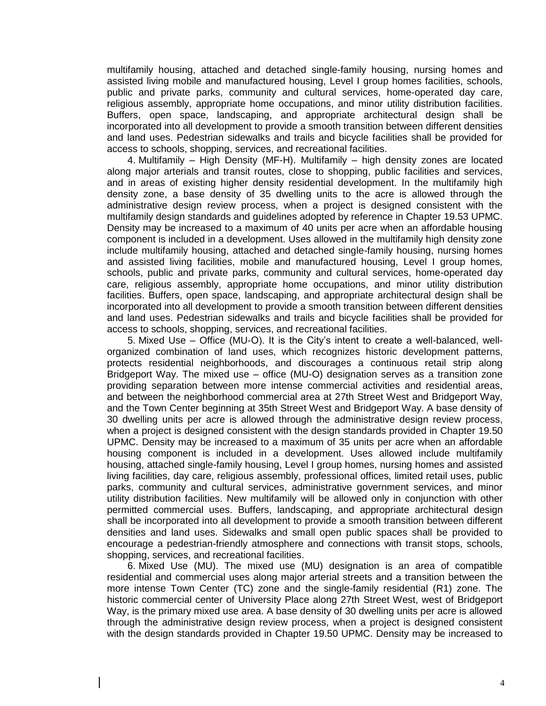multifamily housing, attached and detached single-family housing, nursing homes and assisted living mobile and manufactured housing, Level I group homes facilities, schools, public and private parks, community and cultural services, home-operated day care, religious assembly, appropriate home occupations, and minor utility distribution facilities. Buffers, open space, landscaping, and appropriate architectural design shall be incorporated into all development to provide a smooth transition between different densities and land uses. Pedestrian sidewalks and trails and bicycle facilities shall be provided for access to schools, shopping, services, and recreational facilities.

4. Multifamily – High Density (MF-H). Multifamily – high density zones are located along major arterials and transit routes, close to shopping, public facilities and services, and in areas of existing higher density residential development. In the multifamily high density zone, a base density of 35 dwelling units to the acre is allowed through the administrative design review process, when a project is designed consistent with the multifamily design standards and guidelines adopted by reference in Chapter 19.53 UPMC. Density may be increased to a maximum of 40 units per acre when an affordable housing component is included in a development. Uses allowed in the multifamily high density zone include multifamily housing, attached and detached single-family housing, nursing homes and assisted living facilities, mobile and manufactured housing, Level I group homes, schools, public and private parks, community and cultural services, home-operated day care, religious assembly, appropriate home occupations, and minor utility distribution facilities. Buffers, open space, landscaping, and appropriate architectural design shall be incorporated into all development to provide a smooth transition between different densities and land uses. Pedestrian sidewalks and trails and bicycle facilities shall be provided for access to schools, shopping, services, and recreational facilities.

5. Mixed Use – Office (MU-O). It is the City's intent to create a well-balanced, wellorganized combination of land uses, which recognizes historic development patterns, protects residential neighborhoods, and discourages a continuous retail strip along Bridgeport Way. The mixed use – office (MU-O) designation serves as a transition zone providing separation between more intense commercial activities and residential areas, and between the neighborhood commercial area at 27th Street West and Bridgeport Way, and the Town Center beginning at 35th Street West and Bridgeport Way. A base density of 30 dwelling units per acre is allowed through the administrative design review process, when a project is designed consistent with the design standards provided in Chapter 19.50 UPMC. Density may be increased to a maximum of 35 units per acre when an affordable housing component is included in a development. Uses allowed include multifamily housing, attached single-family housing, Level I group homes, nursing homes and assisted living facilities, day care, religious assembly, professional offices, limited retail uses, public parks, community and cultural services, administrative government services, and minor utility distribution facilities. New multifamily will be allowed only in conjunction with other permitted commercial uses. Buffers, landscaping, and appropriate architectural design shall be incorporated into all development to provide a smooth transition between different densities and land uses. Sidewalks and small open public spaces shall be provided to encourage a pedestrian-friendly atmosphere and connections with transit stops, schools, shopping, services, and recreational facilities.

6. Mixed Use (MU). The mixed use (MU) designation is an area of compatible residential and commercial uses along major arterial streets and a transition between the more intense Town Center (TC) zone and the single-family residential (R1) zone. The historic commercial center of University Place along 27th Street West, west of Bridgeport Way, is the primary mixed use area. A base density of 30 dwelling units per acre is allowed through the administrative design review process, when a project is designed consistent with the design standards provided in Chapter 19.50 UPMC. Density may be increased to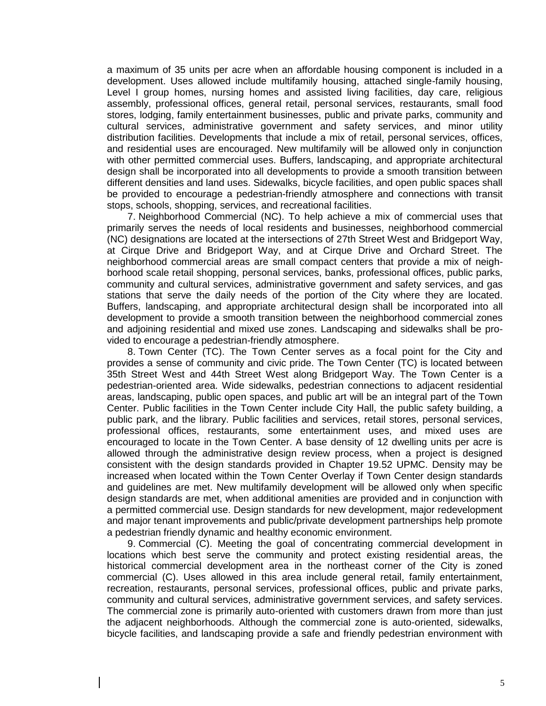a maximum of 35 units per acre when an affordable housing component is included in a development. Uses allowed include multifamily housing, attached single-family housing, Level I group homes, nursing homes and assisted living facilities, day care, religious assembly, professional offices, general retail, personal services, restaurants, small food stores, lodging, family entertainment businesses, public and private parks, community and cultural services, administrative government and safety services, and minor utility distribution facilities. Developments that include a mix of retail, personal services, offices, and residential uses are encouraged. New multifamily will be allowed only in conjunction with other permitted commercial uses. Buffers, landscaping, and appropriate architectural design shall be incorporated into all developments to provide a smooth transition between different densities and land uses. Sidewalks, bicycle facilities, and open public spaces shall be provided to encourage a pedestrian-friendly atmosphere and connections with transit stops, schools, shopping, services, and recreational facilities.

7. Neighborhood Commercial (NC). To help achieve a mix of commercial uses that primarily serves the needs of local residents and businesses, neighborhood commercial (NC) designations are located at the intersections of 27th Street West and Bridgeport Way, at Cirque Drive and Bridgeport Way, and at Cirque Drive and Orchard Street. The neighborhood commercial areas are small compact centers that provide a mix of neighborhood scale retail shopping, personal services, banks, professional offices, public parks, community and cultural services, administrative government and safety services, and gas stations that serve the daily needs of the portion of the City where they are located. Buffers, landscaping, and appropriate architectural design shall be incorporated into all development to provide a smooth transition between the neighborhood commercial zones and adjoining residential and mixed use zones. Landscaping and sidewalks shall be provided to encourage a pedestrian-friendly atmosphere.

8. Town Center (TC). The Town Center serves as a focal point for the City and provides a sense of community and civic pride. The Town Center (TC) is located between 35th Street West and 44th Street West along Bridgeport Way. The Town Center is a pedestrian-oriented area. Wide sidewalks, pedestrian connections to adjacent residential areas, landscaping, public open spaces, and public art will be an integral part of the Town Center. Public facilities in the Town Center include City Hall, the public safety building, a public park, and the library. Public facilities and services, retail stores, personal services, professional offices, restaurants, some entertainment uses, and mixed uses are encouraged to locate in the Town Center. A base density of 12 dwelling units per acre is allowed through the administrative design review process, when a project is designed consistent with the design standards provided in Chapter 19.52 UPMC. Density may be increased when located within the Town Center Overlay if Town Center design standards and guidelines are met. New multifamily development will be allowed only when specific design standards are met, when additional amenities are provided and in conjunction with a permitted commercial use. Design standards for new development, major redevelopment and major tenant improvements and public/private development partnerships help promote a pedestrian friendly dynamic and healthy economic environment.

9. Commercial (C). Meeting the goal of concentrating commercial development in locations which best serve the community and protect existing residential areas, the historical commercial development area in the northeast corner of the City is zoned commercial (C). Uses allowed in this area include general retail, family entertainment, recreation, restaurants, personal services, professional offices, public and private parks, community and cultural services, administrative government services, and safety services. The commercial zone is primarily auto-oriented with customers drawn from more than just the adjacent neighborhoods. Although the commercial zone is auto-oriented, sidewalks, bicycle facilities, and landscaping provide a safe and friendly pedestrian environment with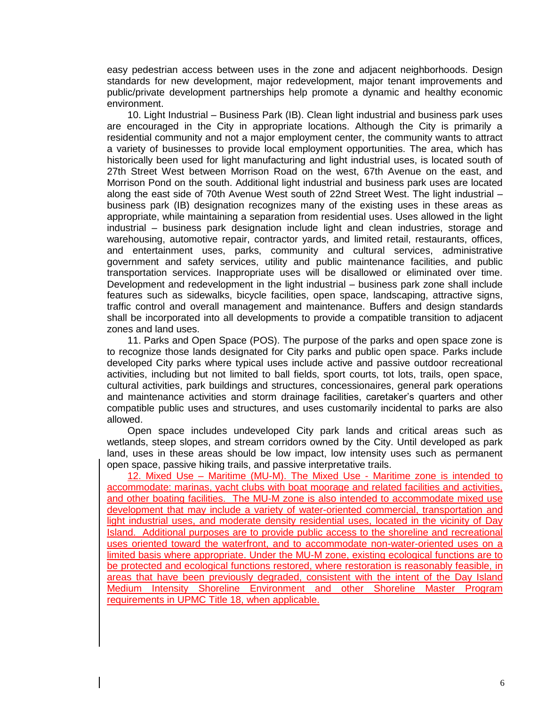easy pedestrian access between uses in the zone and adjacent neighborhoods. Design standards for new development, major redevelopment, major tenant improvements and public/private development partnerships help promote a dynamic and healthy economic environment.

10. Light Industrial – Business Park (IB). Clean light industrial and business park uses are encouraged in the City in appropriate locations. Although the City is primarily a residential community and not a major employment center, the community wants to attract a variety of businesses to provide local employment opportunities. The area, which has historically been used for light manufacturing and light industrial uses, is located south of 27th Street West between Morrison Road on the west, 67th Avenue on the east, and Morrison Pond on the south. Additional light industrial and business park uses are located along the east side of 70th Avenue West south of 22nd Street West. The light industrial – business park (IB) designation recognizes many of the existing uses in these areas as appropriate, while maintaining a separation from residential uses. Uses allowed in the light industrial – business park designation include light and clean industries, storage and warehousing, automotive repair, contractor yards, and limited retail, restaurants, offices, and entertainment uses, parks, community and cultural services, administrative government and safety services, utility and public maintenance facilities, and public transportation services. Inappropriate uses will be disallowed or eliminated over time. Development and redevelopment in the light industrial – business park zone shall include features such as sidewalks, bicycle facilities, open space, landscaping, attractive signs, traffic control and overall management and maintenance. Buffers and design standards shall be incorporated into all developments to provide a compatible transition to adjacent zones and land uses.

11. Parks and Open Space (POS). The purpose of the parks and open space zone is to recognize those lands designated for City parks and public open space. Parks include developed City parks where typical uses include active and passive outdoor recreational activities, including but not limited to ball fields, sport courts, tot lots, trails, open space, cultural activities, park buildings and structures, concessionaires, general park operations and maintenance activities and storm drainage facilities, caretaker's quarters and other compatible public uses and structures, and uses customarily incidental to parks are also allowed.

Open space includes undeveloped City park lands and critical areas such as wetlands, steep slopes, and stream corridors owned by the City. Until developed as park land, uses in these areas should be low impact, low intensity uses such as permanent open space, passive hiking trails, and passive interpretative trails.

12. Mixed Use – Maritime (MU-M). The Mixed Use - Maritime zone is intended to accommodate: marinas, yacht clubs with boat moorage and related facilities and activities, and other boating facilities. The MU-M zone is also intended to accommodate mixed use development that may include a variety of water-oriented commercial, transportation and light industrial uses, and moderate density residential uses, located in the vicinity of Day Island. Additional purposes are to provide public access to the shoreline and recreational uses oriented toward the waterfront, and to accommodate non-water-oriented uses on a limited basis where appropriate. Under the MU-M zone, existing ecological functions are to be protected and ecological functions restored, where restoration is reasonably feasible, in areas that have been previously degraded, consistent with the intent of the Day Island Medium Intensity Shoreline Environment and other Shoreline Master Program requirements in UPMC Title 18, when applicable.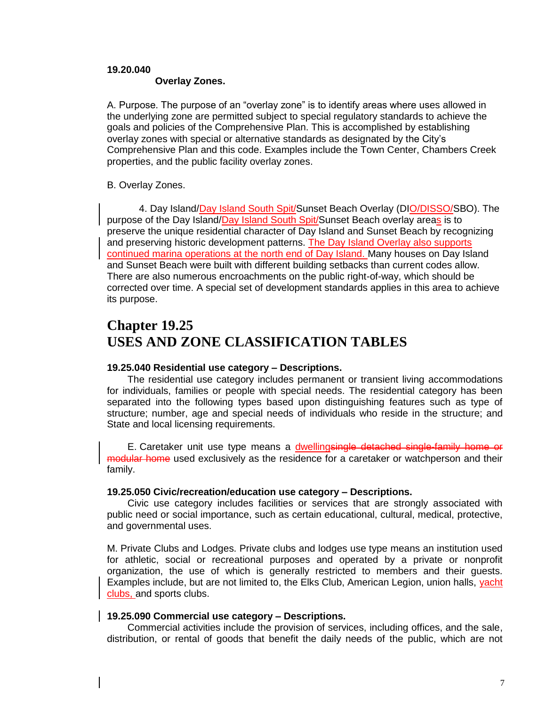#### **19.20.040**

#### **Overlay Zones.**

A. Purpose. The purpose of an "overlay zone" is to identify areas where uses allowed in the underlying zone are permitted subject to special regulatory standards to achieve the goals and policies of the Comprehensive Plan. This is accomplished by establishing overlay zones with special or alternative standards as designated by the City's Comprehensive Plan and this code. Examples include the Town Center, Chambers Creek properties, and the public facility overlay zones.

#### B. Overlay Zones.

4. Day Island/Day Island South Spit/Sunset Beach Overlay (DIO/DISSO/SBO). The purpose of the Day Island/Day Island South Spit/Sunset Beach overlay areas is to preserve the unique residential character of Day Island and Sunset Beach by recognizing and preserving historic development patterns. The Day Island Overlay also supports continued marina operations at the north end of Day Island. Many houses on Day Island and Sunset Beach were built with different building setbacks than current codes allow. There are also numerous encroachments on the public right-of-way, which should be corrected over time. A special set of development standards applies in this area to achieve its purpose.

### **Chapter 19.25 USES AND ZONE CLASSIFICATION TABLES**

#### **19.25.040 Residential use category – Descriptions.**

The residential use category includes permanent or transient living accommodations for individuals, families or people with special needs. The residential category has been separated into the following types based upon distinguishing features such as type of structure; number, age and special needs of individuals who reside in the structure; and State and local licensing requirements.

E. Caretaker unit use type means a dwellingsingle detached single-family home or modular home used exclusively as the residence for a caretaker or watchperson and their family.

#### **19.25.050 Civic/recreation/education use category – Descriptions.**

Civic use category includes facilities or services that are strongly associated with public need or social importance, such as certain educational, cultural, medical, protective, and governmental uses.

M. Private Clubs and Lodges. Private clubs and lodges use type means an institution used for athletic, social or recreational purposes and operated by a private or nonprofit organization, the use of which is generally restricted to members and their guests. Examples include, but are not limited to, the Elks Club, American Legion, union halls, yacht clubs, and sports clubs.

#### **19.25.090 Commercial use category – Descriptions.**

Commercial activities include the provision of services, including offices, and the sale, distribution, or rental of goods that benefit the daily needs of the public, which are not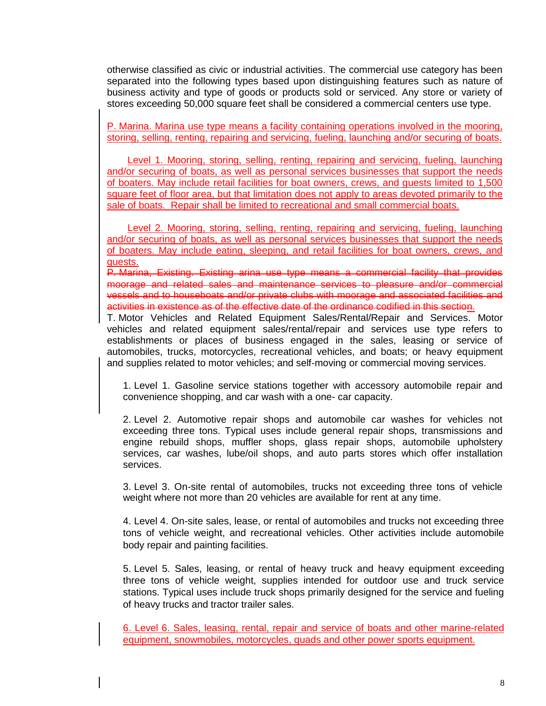otherwise classified as civic or industrial activities. The commercial use category has been separated into the following types based upon distinguishing features such as nature of business activity and type of goods or products sold or serviced. Any store or variety of stores exceeding 50,000 square feet shall be considered a commercial centers use type.

P. Marina. Marina use type means a facility containing operations involved in the mooring, storing, selling, renting, repairing and servicing, fueling, launching and/or securing of boats.

Level 1. Mooring, storing, selling, renting, repairing and servicing, fueling, launching and/or securing of boats, as well as personal services businesses that support the needs of boaters. May include retail facilities for boat owners, crews, and guests limited to 1,500 square feet of floor area, but that limitation does not apply to areas devoted primarily to the sale of boats. Repair shall be limited to recreational and small commercial boats.

Level 2. Mooring, storing, selling, renting, repairing and servicing, fueling, launching and/or securing of boats, as well as personal services businesses that support the needs of boaters. May include eating, sleeping, and retail facilities for boat owners, crews, and guests.

P. Marina, Existing. Existing arina use type means a commercial facility that provides moorage and related sales and maintenance services to pleasure and/or commercial vessels and to houseboats and/or private clubs with moorage and associated facilities and activities in existence as of the effective date of the ordinance codified in this section.

T. Motor Vehicles and Related Equipment Sales/Rental/Repair and Services. Motor vehicles and related equipment sales/rental/repair and services use type refers to establishments or places of business engaged in the sales, leasing or service of automobiles, trucks, motorcycles, recreational vehicles, and boats; or heavy equipment and supplies related to motor vehicles; and self-moving or commercial moving services.

1. Level 1. Gasoline service stations together with accessory automobile repair and convenience shopping, and car wash with a one- car capacity.

2. Level 2. Automotive repair shops and automobile car washes for vehicles not exceeding three tons. Typical uses include general repair shops, transmissions and engine rebuild shops, muffler shops, glass repair shops, automobile upholstery services, car washes, lube/oil shops, and auto parts stores which offer installation services.

3. Level 3. On-site rental of automobiles, trucks not exceeding three tons of vehicle weight where not more than 20 vehicles are available for rent at any time.

4. Level 4. On-site sales, lease, or rental of automobiles and trucks not exceeding three tons of vehicle weight, and recreational vehicles. Other activities include automobile body repair and painting facilities.

5. Level 5. Sales, leasing, or rental of heavy truck and heavy equipment exceeding three tons of vehicle weight, supplies intended for outdoor use and truck service stations. Typical uses include truck shops primarily designed for the service and fueling of heavy trucks and tractor trailer sales.

6. Level 6. Sales, leasing, rental, repair and service of boats and other marine-related equipment, snowmobiles, motorcycles, quads and other power sports equipment.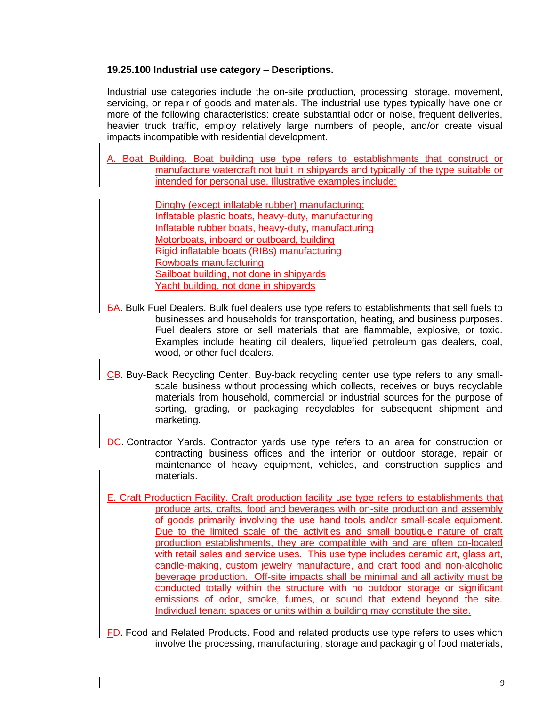#### **19.25.100 Industrial use category – Descriptions.**

Industrial use categories include the on-site production, processing, storage, movement, servicing, or repair of goods and materials. The industrial use types typically have one or more of the following characteristics: create substantial odor or noise, frequent deliveries, heavier truck traffic, employ relatively large numbers of people, and/or create visual impacts incompatible with residential development.

A. Boat Building. Boat building use type refers to establishments that construct or manufacture watercraft not built in shipyards and typically of the type suitable or intended for personal use. Illustrative examples include:

> Dinghy (except inflatable rubber) manufacturing; Inflatable plastic boats, heavy-duty, manufacturing Inflatable rubber boats, heavy-duty, manufacturing Motorboats, inboard or outboard, building Rigid inflatable boats (RIBs) manufacturing Rowboats manufacturing Sailboat building, not done in shipyards Yacht building, not done in shipyards

- BA. Bulk Fuel Dealers. Bulk fuel dealers use type refers to establishments that sell fuels to businesses and households for transportation, heating, and business purposes. Fuel dealers store or sell materials that are flammable, explosive, or toxic. Examples include heating oil dealers, liquefied petroleum gas dealers, coal, wood, or other fuel dealers.
- CB. Buy-Back Recycling Center. Buy-back recycling center use type refers to any smallscale business without processing which collects, receives or buys recyclable materials from household, commercial or industrial sources for the purpose of sorting, grading, or packaging recyclables for subsequent shipment and marketing.
- DG. Contractor Yards. Contractor yards use type refers to an area for construction or contracting business offices and the interior or outdoor storage, repair or maintenance of heavy equipment, vehicles, and construction supplies and materials.
- E. Craft Production Facility. Craft production facility use type refers to establishments that produce arts, crafts, food and beverages with on-site production and assembly of goods primarily involving the use hand tools and/or small-scale equipment. Due to the limited scale of the activities and small boutique nature of craft production establishments, they are compatible with and are often co-located with retail sales and service uses. This use type includes ceramic art, glass art, candle-making, custom jewelry manufacture, and craft food and non-alcoholic beverage production. Off-site impacts shall be minimal and all activity must be conducted totally within the structure with no outdoor storage or significant emissions of odor, smoke, fumes, or sound that extend beyond the site. Individual tenant spaces or units within a building may constitute the site.
- FD. Food and Related Products. Food and related products use type refers to uses which involve the processing, manufacturing, storage and packaging of food materials,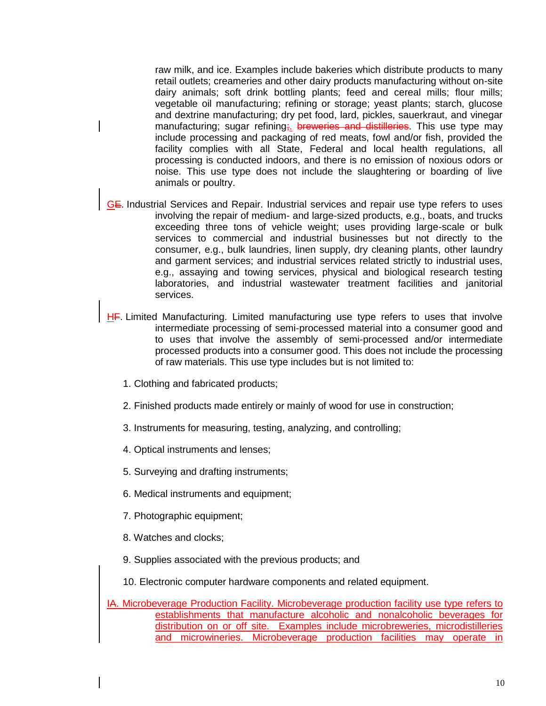raw milk, and ice. Examples include bakeries which distribute products to many retail outlets; creameries and other dairy products manufacturing without on-site dairy animals; soft drink bottling plants; feed and cereal mills; flour mills; vegetable oil manufacturing; refining or storage; yeast plants; starch, glucose and dextrine manufacturing; dry pet food, lard, pickles, sauerkraut, and vinegar manufacturing; sugar refining; breweries and distilleries. This use type may include processing and packaging of red meats, fowl and/or fish, provided the facility complies with all State, Federal and local health regulations, all processing is conducted indoors, and there is no emission of noxious odors or noise. This use type does not include the slaughtering or boarding of live animals or poultry.

- GE. Industrial Services and Repair. Industrial services and repair use type refers to uses involving the repair of medium- and large-sized products, e.g., boats, and trucks exceeding three tons of vehicle weight; uses providing large-scale or bulk services to commercial and industrial businesses but not directly to the consumer, e.g., bulk laundries, linen supply, dry cleaning plants, other laundry and garment services; and industrial services related strictly to industrial uses, e.g., assaying and towing services, physical and biological research testing laboratories, and industrial wastewater treatment facilities and janitorial services.
- HF. Limited Manufacturing. Limited manufacturing use type refers to uses that involve intermediate processing of semi-processed material into a consumer good and to uses that involve the assembly of semi-processed and/or intermediate processed products into a consumer good. This does not include the processing of raw materials. This use type includes but is not limited to:
	- 1. Clothing and fabricated products;
	- 2. Finished products made entirely or mainly of wood for use in construction;
	- 3. Instruments for measuring, testing, analyzing, and controlling;
	- 4. Optical instruments and lenses;
	- 5. Surveying and drafting instruments;
	- 6. Medical instruments and equipment;
	- 7. Photographic equipment;
	- 8. Watches and clocks;
	- 9. Supplies associated with the previous products; and
	- 10. Electronic computer hardware components and related equipment.
- IA. Microbeverage Production Facility. Microbeverage production facility use type refers to establishments that manufacture alcoholic and nonalcoholic beverages for distribution on or off site. Examples include microbreweries, microdistilleries and microwineries. Microbeverage production facilities may operate in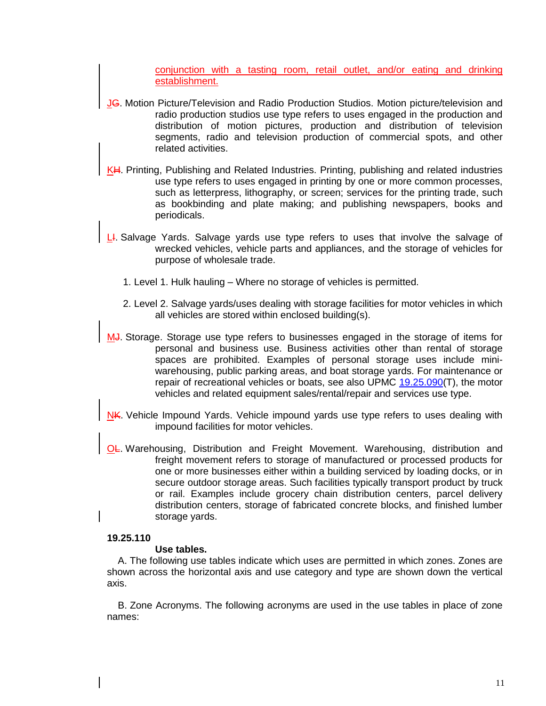conjunction with a tasting room, retail outlet, and/or eating and drinking establishment.

- JG. Motion Picture/Television and Radio Production Studios. Motion picture/television and radio production studios use type refers to uses engaged in the production and distribution of motion pictures, production and distribution of television segments, radio and television production of commercial spots, and other related activities.
- KH. Printing, Publishing and Related Industries. Printing, publishing and related industries use type refers to uses engaged in printing by one or more common processes, such as letterpress, lithography, or screen; services for the printing trade, such as bookbinding and plate making; and publishing newspapers, books and periodicals.
- L. Salvage Yards. Salvage yards use type refers to uses that involve the salvage of wrecked vehicles, vehicle parts and appliances, and the storage of vehicles for purpose of wholesale trade.
	- 1. Level 1. Hulk hauling Where no storage of vehicles is permitted.
	- 2. Level 2. Salvage yards/uses dealing with storage facilities for motor vehicles in which all vehicles are stored within enclosed building(s).
- MJ. Storage. Storage use type refers to businesses engaged in the storage of items for personal and business use. Business activities other than rental of storage spaces are prohibited. Examples of personal storage uses include miniwarehousing, public parking areas, and boat storage yards. For maintenance or repair of recreational vehicles or boats, see also UPMC  $19.25.090(T)$ , the motor vehicles and related equipment sales/rental/repair and services use type.
- NK. Vehicle Impound Yards. Vehicle impound yards use type refers to uses dealing with impound facilities for motor vehicles.
- OL. Warehousing, Distribution and Freight Movement. Warehousing, distribution and freight movement refers to storage of manufactured or processed products for one or more businesses either within a building serviced by loading docks, or in secure outdoor storage areas. Such facilities typically transport product by truck or rail. Examples include grocery chain distribution centers, parcel delivery distribution centers, storage of fabricated concrete blocks, and finished lumber storage yards.

#### **19.25.110**

#### **Use tables.**

A. The following use tables indicate which uses are permitted in which zones. Zones are shown across the horizontal axis and use category and type are shown down the vertical axis.

B. Zone Acronyms. The following acronyms are used in the use tables in place of zone names: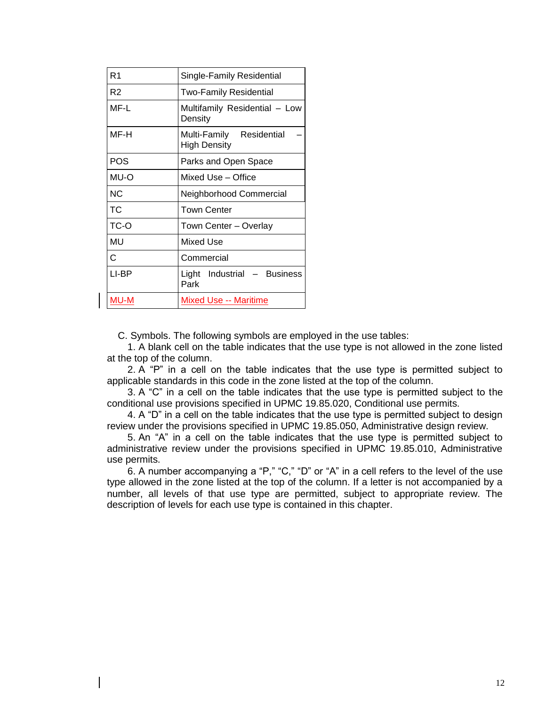| R <sub>1</sub> | Single-Family Residential                       |
|----------------|-------------------------------------------------|
| R2             | <b>Two-Family Residential</b>                   |
| MF-L           | Multifamily Residential - Low<br>Density        |
| MF-H           | Multi-Family Residential<br><b>High Density</b> |
| POS            | Parks and Open Space                            |
| MU-O           | Mixed Use - Office                              |
| NC.            | Neighborhood Commercial                         |
| ТC             | <b>Town Center</b>                              |
| TC-O           | Town Center - Overlay                           |
| MU             | <b>Mixed Use</b>                                |
| C              | Commercial                                      |
| LI-BP          | Light Industrial - Business<br>Park             |
| MU-M           | Mixed Use -- Maritime                           |

C. Symbols. The following symbols are employed in the use tables:

1. A blank cell on the table indicates that the use type is not allowed in the zone listed at the top of the column.

2. A "P" in a cell on the table indicates that the use type is permitted subject to applicable standards in this code in the zone listed at the top of the column.

3. A "C" in a cell on the table indicates that the use type is permitted subject to the conditional use provisions specified in UPMC 19.85.020, Conditional use permits.

4. A "D" in a cell on the table indicates that the use type is permitted subject to design review under the provisions specified in UPMC 19.85.050, Administrative design review.

5. An "A" in a cell on the table indicates that the use type is permitted subject to administrative review under the provisions specified in UPMC 19.85.010, Administrative use permits.

6. A number accompanying a "P," "C," "D" or "A" in a cell refers to the level of the use type allowed in the zone listed at the top of the column. If a letter is not accompanied by a number, all levels of that use type are permitted, subject to appropriate review. The description of levels for each use type is contained in this chapter.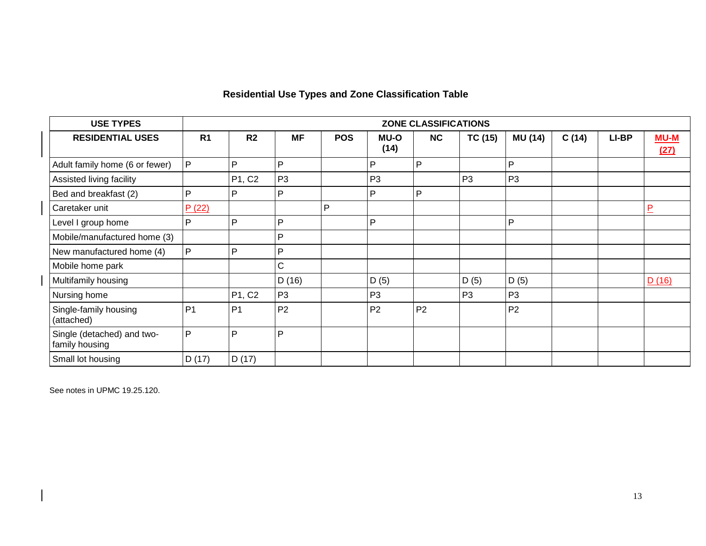### **Residential Use Types and Zone Classification Table**

| <b>USE TYPES</b>                             |                |                |                |            |                | ZONE CLASSIFICATIONS |                |                |       |       |                |
|----------------------------------------------|----------------|----------------|----------------|------------|----------------|----------------------|----------------|----------------|-------|-------|----------------|
| <b>RESIDENTIAL USES</b>                      | R <sub>1</sub> | R <sub>2</sub> | <b>MF</b>      | <b>POS</b> | MU-O<br>(14)   | NC                   | <b>TC (15)</b> | <b>MU (14)</b> | C(14) | LI-BP | $MU-M$<br>(27) |
| Adult family home (6 or fewer)               | P              | P              | P              |            | P              | $\mathsf{P}$         |                | P              |       |       |                |
| Assisted living facility                     |                | P1, C2         | P <sub>3</sub> |            | P <sub>3</sub> |                      | P <sub>3</sub> | P <sub>3</sub> |       |       |                |
| Bed and breakfast (2)                        | P              | P              | P              |            | P              | P                    |                |                |       |       |                |
| Caretaker unit                               | P(22)          |                |                | P          |                |                      |                |                |       |       | $\overline{P}$ |
| Level I group home                           | P              | P              | P              |            | P              |                      |                | P              |       |       |                |
| Mobile/manufactured home (3)                 |                |                | P              |            |                |                      |                |                |       |       |                |
| New manufactured home (4)                    | P              | P              | D              |            |                |                      |                |                |       |       |                |
| Mobile home park                             |                |                | C              |            |                |                      |                |                |       |       |                |
| Multifamily housing                          |                |                | D (16)         |            | D(5)           |                      | D (5)          | D (5)          |       |       | D(16)          |
| Nursing home                                 |                | P1, C2         | P <sub>3</sub> |            | P <sub>3</sub> |                      | P <sub>3</sub> | P <sub>3</sub> |       |       |                |
| Single-family housing<br>(attached)          | P <sub>1</sub> | P <sub>1</sub> | P <sub>2</sub> |            | P <sub>2</sub> | P <sub>2</sub>       |                | P <sub>2</sub> |       |       |                |
| Single (detached) and two-<br>family housing | P              | P              | P              |            |                |                      |                |                |       |       |                |
| Small lot housing                            | D(17)          | D(17)          |                |            |                |                      |                |                |       |       |                |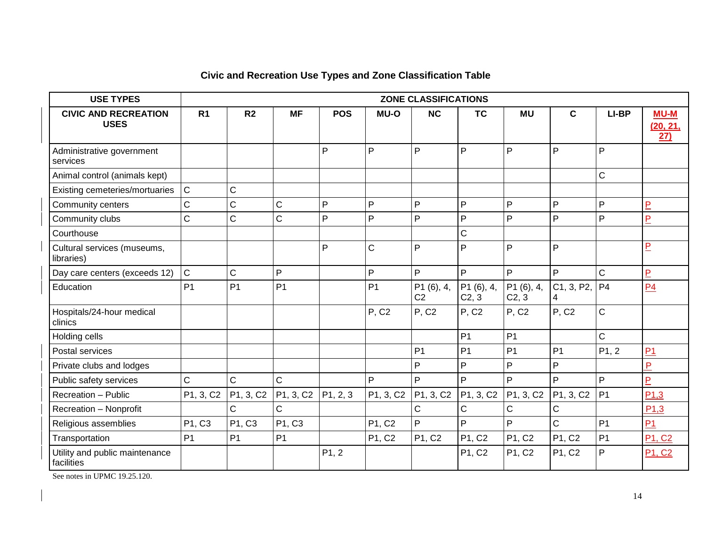| <b>USE TYPES</b>                             |                |                |                |            |                | <b>ZONE CLASSIFICATIONS</b>  |                     |                     |                                    |                |                                |
|----------------------------------------------|----------------|----------------|----------------|------------|----------------|------------------------------|---------------------|---------------------|------------------------------------|----------------|--------------------------------|
| <b>CIVIC AND RECREATION</b><br><b>USES</b>   | R <sub>1</sub> | R <sub>2</sub> | <b>MF</b>      | <b>POS</b> | MU-O           | <b>NC</b>                    | <b>TC</b>           | <b>MU</b>           | C                                  | LI-BP          | <b>MU-M</b><br>(20, 21,<br>27) |
| Administrative government<br>services        |                |                |                | P          | P              | P                            | P                   | P                   | P                                  | P              |                                |
| Animal control (animals kept)                |                |                |                |            |                |                              |                     |                     |                                    | $\mathsf C$    |                                |
| Existing cemeteries/mortuaries               | $\mathsf C$    | C              |                |            |                |                              |                     |                     |                                    |                |                                |
| Community centers                            | $\mathsf C$    | $\mathsf C$    | C              | P          | P              | P                            | P                   | P                   | P                                  | P              | $\overline{P}$                 |
| Community clubs                              | $\mathsf C$    | C              | $\mathsf{C}$   | P          | P              | P                            | P                   | P                   | P                                  | P              | $\overline{P}$                 |
| Courthouse                                   |                |                |                |            |                |                              | $\mathsf C$         |                     |                                    |                |                                |
| Cultural services (museums,<br>libraries)    |                |                |                | P          | C              | P                            | P                   | P                   | P                                  |                | $\overline{P}$                 |
| Day care centers (exceeds 12)                | $\mathsf C$    | C              | P              |            | P              | P                            | P                   | P                   | P                                  | $\mathsf{C}$   | $\overline{P}$                 |
| Education                                    | P <sub>1</sub> | P <sub>1</sub> | P <sub>1</sub> |            | P <sub>1</sub> | P1 (6), 4,<br>C <sub>2</sub> | P1 (6), 4,<br>C2, 3 | P1 (6), 4,<br>C2, 3 | C1, 3, P2,<br>4                    | P <sub>4</sub> | P <sub>4</sub>                 |
| Hospitals/24-hour medical<br>clinics         |                |                |                |            | P, C2          | <b>P, C2</b>                 | P, C2               | P, C2               | <b>P, C2</b>                       | $\mathsf{C}$   |                                |
| Holding cells                                |                |                |                |            |                |                              | P <sub>1</sub>      | P <sub>1</sub>      |                                    | $\mathsf{C}$   |                                |
| Postal services                              |                |                |                |            |                | P <sub>1</sub>               | P <sub>1</sub>      | P <sub>1</sub>      | P <sub>1</sub>                     | P1, 2          | P <sub>1</sub>                 |
| Private clubs and lodges                     |                |                |                |            |                | P                            | P                   | P                   | P                                  |                | $\overline{P}$                 |
| Public safety services                       | $\mathsf C$    | $\mathsf C$    | $\mathsf{C}$   |            | P              | P                            | $\mathsf{P}$        | P                   | P                                  | $\mathsf{P}$   | $\overline{P}$                 |
| Recreation - Public                          | P1, 3, C2      | P1, 3, C2      | PI, 3, C2      | P1, 2, 3   | P1, 3, C2      | P1, 3, C2                    | P1, 3, C2           | P1, 3, C2           | P <sub>1</sub> , 3, C <sub>2</sub> | P <sub>1</sub> | P1,3                           |
| Recreation - Nonprofit                       |                | C              | Ċ              |            |                | C                            | $\mathbf C$         | C                   | $\mathsf C$                        |                | P1,3                           |
| Religious assemblies                         | P1, C3         | P1, C3         | P1, C3         |            | P1, C2         | P                            | P                   | P                   | $\mathsf{C}$                       | P <sub>1</sub> | <b>P1</b>                      |
| Transportation                               | P <sub>1</sub> | P <sub>1</sub> | P <sub>1</sub> |            | P1, C2         | P1, C2                       | P1, C2              | P1, C2              | P1, C2                             | P <sub>1</sub> | P1, C2                         |
| Utility and public maintenance<br>facilities |                |                |                | P1, 2      |                |                              | P1, C2              | P1, C2              | P1, C2                             | P              | P1, C2                         |

### **Civic and Recreation Use Types and Zone Classification Table**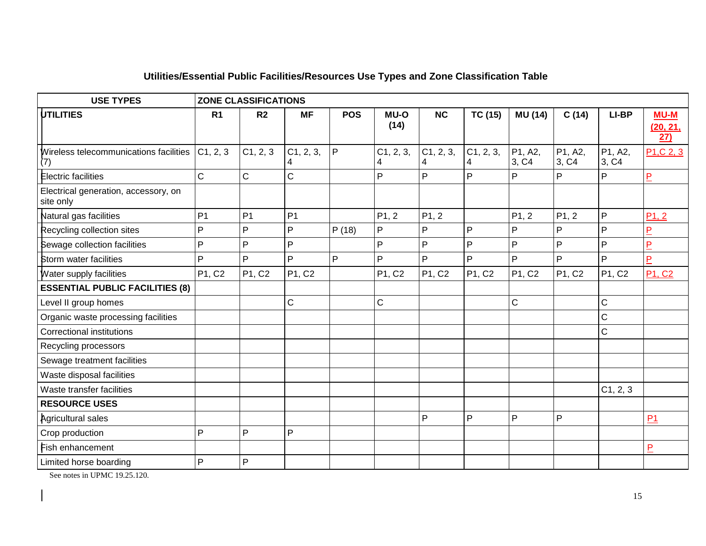| <b>USE TYPES</b>                                  | <b>ZONE CLASSIFICATIONS</b> |                |                |            |                     |                |                |                  |                  |                  |                                    |  |  |
|---------------------------------------------------|-----------------------------|----------------|----------------|------------|---------------------|----------------|----------------|------------------|------------------|------------------|------------------------------------|--|--|
| <b>UTILITIES</b>                                  | R <sub>1</sub>              | R <sub>2</sub> | <b>MF</b>      | <b>POS</b> | <b>MU-O</b><br>(14) | <b>NC</b>      | <b>TC (15)</b> | <b>MU (14)</b>   | C(14)            | LI-BP            | <b>MU-M</b><br>(20, 21,<br>27)     |  |  |
| Wireless telecommunications facilities<br>(7)     | C1, 2, 3                    | C1, 2, 3       | C1, 2, 3,<br>4 | P          | C1, 2, 3,<br>4      | C1, 2, 3,<br>4 | C1, 2, 3,<br>4 | P1, A2,<br>3, C4 | P1, A2,<br>3, C4 | P1, A2,<br>3, C4 | P <sub>1</sub> ,C <sub>2</sub> , 3 |  |  |
| <b>Electric facilities</b>                        | $\mathsf C$                 | C              | Ċ              |            | Þ                   | $\overline{P}$ | P              | $\mathsf{P}$     | P                | P                | $\overline{P}$                     |  |  |
| Electrical generation, accessory, on<br>site only |                             |                |                |            |                     |                |                |                  |                  |                  |                                    |  |  |
| Natural gas facilities                            | P <sub>1</sub>              | P <sub>1</sub> | P <sub>1</sub> |            | P1, 2               | P1, 2          |                | P1, 2            | P1, 2            | $\mathsf{P}$     | P1, 2                              |  |  |
| Recycling collection sites                        | P                           | P              | P              | P(18)      | P                   | P              | $\mathsf{P}$   | P                | P                | P                | P                                  |  |  |
| Sewage collection facilities                      | P                           | P              | P              |            | P                   | P              | P              | P                | P                | P                | $\overline{P}$                     |  |  |
| Storm water facilities                            | P                           | P              | P              | P          | P                   | P              | P              | P                | P                | P                | $\mathsf{P}$                       |  |  |
| Water supply facilities                           | P1, C2                      | P1, C2         | P1, C2         |            | P1, C2              | P1, C2         | P1, C2         | P1, C2           | P1, C2           | P1, C2           | P1, C2                             |  |  |
| <b>ESSENTIAL PUBLIC FACILITIES (8)</b>            |                             |                |                |            |                     |                |                |                  |                  |                  |                                    |  |  |
| Level II group homes                              |                             |                | C              |            | C                   |                |                | $\mathbf C$      |                  | $\mathsf C$      |                                    |  |  |
| Organic waste processing facilities               |                             |                |                |            |                     |                |                |                  |                  | $\mathsf C$      |                                    |  |  |
| <b>Correctional institutions</b>                  |                             |                |                |            |                     |                |                |                  |                  | $\mathsf C$      |                                    |  |  |
| Recycling processors                              |                             |                |                |            |                     |                |                |                  |                  |                  |                                    |  |  |
| Sewage treatment facilities                       |                             |                |                |            |                     |                |                |                  |                  |                  |                                    |  |  |
| Waste disposal facilities                         |                             |                |                |            |                     |                |                |                  |                  |                  |                                    |  |  |
| Waste transfer facilities                         |                             |                |                |            |                     |                |                |                  |                  | C1, 2, 3         |                                    |  |  |
| <b>RESOURCE USES</b>                              |                             |                |                |            |                     |                |                |                  |                  |                  |                                    |  |  |
| Agricultural sales                                |                             |                |                |            |                     | $\mathsf{P}$   | P              | $\mathsf{P}$     | P                |                  | P <sub>1</sub>                     |  |  |
| Crop production                                   | P                           | P              | $\mathsf{P}$   |            |                     |                |                |                  |                  |                  |                                    |  |  |
| Fish enhancement                                  |                             |                |                |            |                     |                |                |                  |                  |                  | $\overline{P}$                     |  |  |
| Limited horse boarding                            | P                           | P              |                |            |                     |                |                |                  |                  |                  |                                    |  |  |

### **Utilities/Essential Public Facilities/Resources Use Types and Zone Classification Table**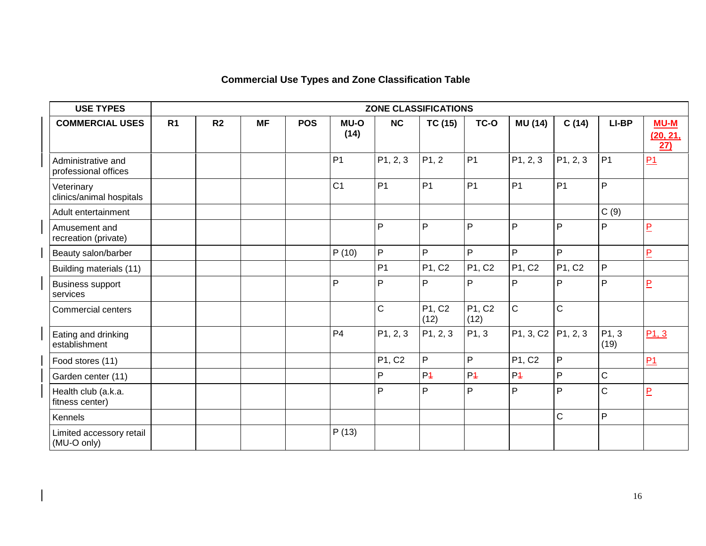### **Commercial Use Types and Zone Classification Table**

| <b>USE TYPES</b>                           | ZONE CLASSIFICATIONS |                |           |            |                |                |                    |                |                |              |                |                           |  |
|--------------------------------------------|----------------------|----------------|-----------|------------|----------------|----------------|--------------------|----------------|----------------|--------------|----------------|---------------------------|--|
| <b>COMMERCIAL USES</b>                     | R <sub>1</sub>       | R <sub>2</sub> | <b>MF</b> | <b>POS</b> | MU-O<br>(14)   | NC             | <b>TC (15)</b>     | TC-O           | <b>MU (14)</b> | C(14)        | LI-BP          | $MU-M$<br>(20, 21,<br>27) |  |
| Administrative and<br>professional offices |                      |                |           |            | P <sub>1</sub> | P1, 2, 3       | P <sub>1</sub> , 2 | P <sub>1</sub> | P1, 2, 3       | P1, 2, 3     | P <sub>1</sub> | P1                        |  |
| Veterinary<br>clinics/animal hospitals     |                      |                |           |            | C <sub>1</sub> | P <sub>1</sub> | P <sub>1</sub>     | P <sub>1</sub> | P <sub>1</sub> | <b>P1</b>    | P              |                           |  |
| Adult entertainment                        |                      |                |           |            |                |                |                    |                |                |              | C(9)           |                           |  |
| Amusement and<br>recreation (private)      |                      |                |           |            |                | P              | $\mathsf{P}$       | P              | P              | P            | P              | $\overline{P}$            |  |
| Beauty salon/barber                        |                      |                |           |            | P(10)          | P              | P                  | P              | P              | P            |                | $\overline{P}$            |  |
| Building materials (11)                    |                      |                |           |            |                | P <sub>1</sub> | P1, C2             | P1, C2         | P1, C2         | P1, C2       | P              |                           |  |
| <b>Business support</b><br>services        |                      |                |           |            | P              | P              | P                  | P              | P              | P            | P              | $\overline{P}$            |  |
| <b>Commercial centers</b>                  |                      |                |           |            |                | $\mathsf C$    | P1, C2<br>(12)     | P1, C2<br>(12) | $\mathsf{C}$   | $\mathbf C$  |                |                           |  |
| Eating and drinking<br>establishment       |                      |                |           |            | P <sub>4</sub> | P1, 2, 3       | P1, 2, 3           | P1, 3          | P1, 3, C2      | P1, 2, 3     | P1, 3<br>(19)  | P1, 3                     |  |
| Food stores (11)                           |                      |                |           |            |                | P1, C2         | P                  | P              | P1, C2         | P            |                | P1                        |  |
| Garden center (11)                         |                      |                |           |            |                | P              | P <sub>4</sub>     | P <sub>4</sub> | P <sub>4</sub> | $\mathsf{P}$ | C              |                           |  |
| Health club (a.k.a.<br>fitness center)     |                      |                |           |            |                | P              | P                  | P              | P              | P            | C              | $\overline{P}$            |  |
| Kennels                                    |                      |                |           |            |                |                |                    |                |                | $\mathsf C$  | P              |                           |  |
| Limited accessory retail<br>(MU-O only)    |                      |                |           |            | P(13)          |                |                    |                |                |              |                |                           |  |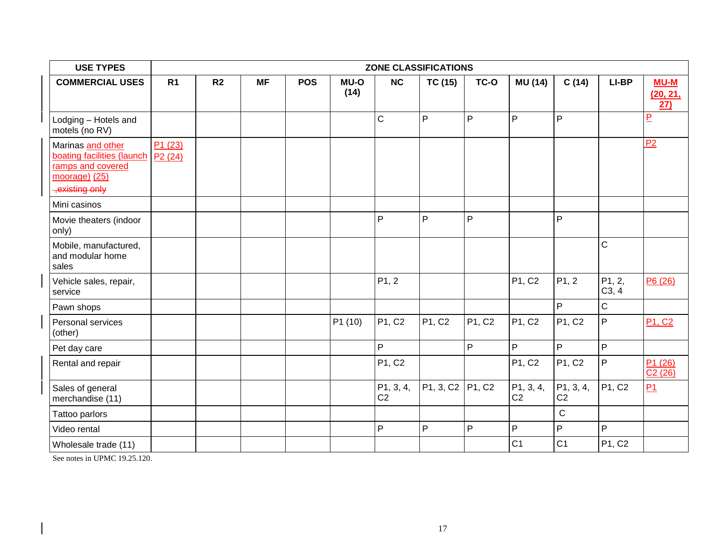| <b>USE TYPES</b>                                                                                       |                  |                |           |            |              |                             | ZONE CLASSIFICATIONS |        |                             |                             |                 |                                            |
|--------------------------------------------------------------------------------------------------------|------------------|----------------|-----------|------------|--------------|-----------------------------|----------------------|--------|-----------------------------|-----------------------------|-----------------|--------------------------------------------|
| <b>COMMERCIAL USES</b>                                                                                 | R <sub>1</sub>   | R <sub>2</sub> | <b>MF</b> | <b>POS</b> | MU-O<br>(14) | NC                          | <b>TC (15)</b>       | TC-O   | <b>MU (14)</b>              | C(14)                       | LI-BP           | <b>MU-M</b><br>(20, 21,<br>$\overline{27}$ |
| Lodging - Hotels and<br>motels (no RV)                                                                 |                  |                |           |            |              | $\mathsf{C}$                | P                    | P      | P                           | P                           |                 | $\overline{P}$                             |
| Marinas and other<br>boating facilities (launch<br>ramps and covered<br>moorage) (25)<br>existing only | P1(23)<br>P2(24) |                |           |            |              |                             |                      |        |                             |                             |                 | P <sub>2</sub>                             |
| Mini casinos                                                                                           |                  |                |           |            |              |                             |                      |        |                             |                             |                 |                                            |
| Movie theaters (indoor<br>only)                                                                        |                  |                |           |            |              | P                           | P                    | P      |                             | P                           |                 |                                            |
| Mobile, manufactured,<br>and modular home<br>sales                                                     |                  |                |           |            |              |                             |                      |        |                             |                             | C               |                                            |
| Vehicle sales, repair,<br>service                                                                      |                  |                |           |            |              | P1, 2                       |                      |        | P1, C2                      | P <sub>1</sub> , 2          | P1, 2,<br>C3, 4 | P6 (26)                                    |
| Pawn shops                                                                                             |                  |                |           |            |              |                             |                      |        |                             | P                           | C               |                                            |
| Personal services<br>(other)                                                                           |                  |                |           |            | P1 (10)      | P1, C2                      | P1, C2               | P1, C2 | P1, C2                      | P1, C2                      | P               | <b>P1, C2</b>                              |
| Pet day care                                                                                           |                  |                |           |            |              | P                           |                      | P      | P                           | $\mathsf{P}$                | P.              |                                            |
| Rental and repair                                                                                      |                  |                |           |            |              | P1, C2                      |                      |        | P1, C2                      | P1, C2                      | P               | P1(26)<br>C2(26)                           |
| Sales of general<br>merchandise (11)                                                                   |                  |                |           |            |              | P1, 3, 4,<br>C <sub>2</sub> | P1, 3, C2            | P1, C2 | P1, 3, 4,<br>C <sub>2</sub> | P1, 3, 4,<br>C <sub>2</sub> | P1, C2          | P1                                         |
| Tattoo parlors                                                                                         |                  |                |           |            |              |                             |                      |        |                             | $\mathsf C$                 |                 |                                            |
| Video rental                                                                                           |                  |                |           |            |              | $\mathsf{P}$                | P                    | P      | $\mathsf{P}$                | P                           | P               |                                            |
| Wholesale trade (11)                                                                                   |                  |                |           |            |              |                             |                      |        | C <sub>1</sub>              | C <sub>1</sub>              | P1, C2          |                                            |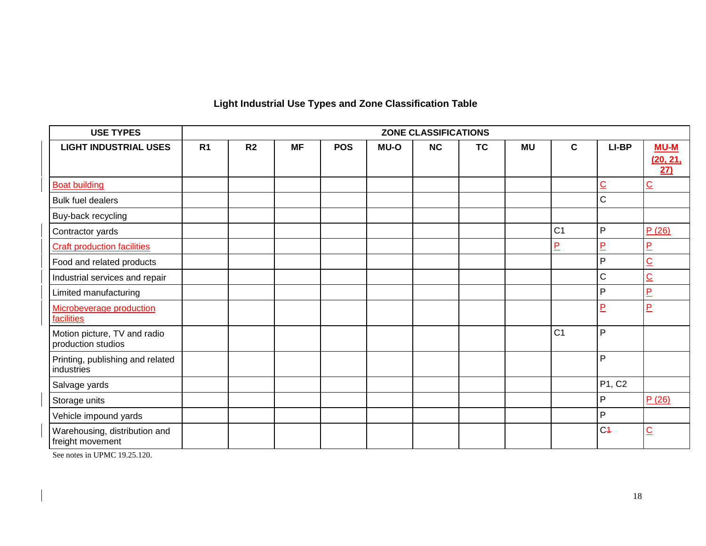### **Light Industrial Use Types and Zone Classification Table**

| <b>USE TYPES</b>                                   |                |                |           |            |             | <b>ZONE CLASSIFICATIONS</b> |           |           |                |                |                         |
|----------------------------------------------------|----------------|----------------|-----------|------------|-------------|-----------------------------|-----------|-----------|----------------|----------------|-------------------------|
| <b>LIGHT INDUSTRIAL USES</b>                       | R <sub>1</sub> | R <sub>2</sub> | <b>MF</b> | <b>POS</b> | <b>MU-O</b> | NC                          | <b>TC</b> | <b>MU</b> | $\mathbf c$    | LI-BP          | <b>MU-M</b>             |
|                                                    |                |                |           |            |             |                             |           |           |                |                | (20, 21,<br>27)         |
| <b>Boat building</b>                               |                |                |           |            |             |                             |           |           |                | $\overline{C}$ | $\overline{C}$          |
| <b>Bulk fuel dealers</b>                           |                |                |           |            |             |                             |           |           |                | C              |                         |
| Buy-back recycling                                 |                |                |           |            |             |                             |           |           |                |                |                         |
| Contractor yards                                   |                |                |           |            |             |                             |           |           | C <sub>1</sub> | P              | P(26)                   |
| <b>Craft production facilities</b>                 |                |                |           |            |             |                             |           |           | P              | $\overline{P}$ | $\overline{P}$          |
| Food and related products                          |                |                |           |            |             |                             |           |           |                | P              | $\overline{\mathsf{C}}$ |
| Industrial services and repair                     |                |                |           |            |             |                             |           |           |                | C              | $\overline{C}$          |
| Limited manufacturing                              |                |                |           |            |             |                             |           |           |                | P              | $\overline{P}$          |
| <b>Microbeverage production</b><br>facilities      |                |                |           |            |             |                             |           |           |                | P              | $\overline{P}$          |
| Motion picture, TV and radio<br>production studios |                |                |           |            |             |                             |           |           | C <sub>1</sub> | P              |                         |
| Printing, publishing and related<br>industries     |                |                |           |            |             |                             |           |           |                | P              |                         |
| Salvage yards                                      |                |                |           |            |             |                             |           |           |                | P1, C2         |                         |
| Storage units                                      |                |                |           |            |             |                             |           |           |                | P              | P(26)                   |
| Vehicle impound yards                              |                |                |           |            |             |                             |           |           |                | P              |                         |
| Warehousing, distribution and<br>freight movement  |                |                |           |            |             |                             |           |           |                | C <sub>4</sub> | $\overline{C}$          |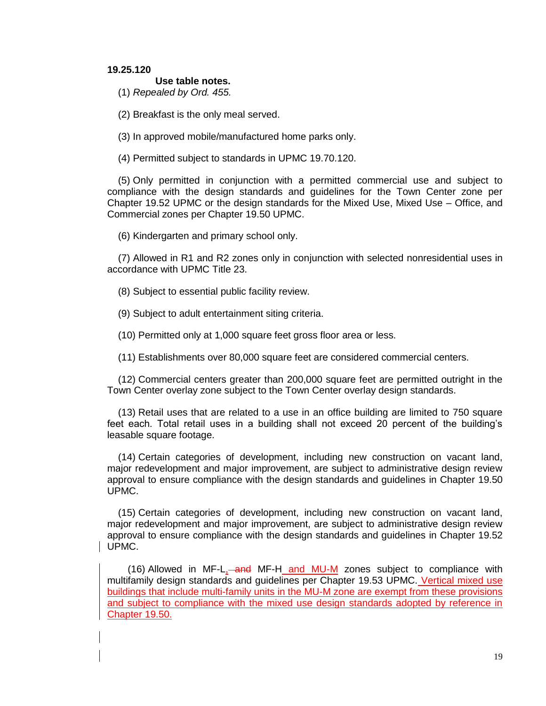#### **19.25.120**

#### **Use table notes.**

(1) *Repealed by Ord. 455.*

(2) Breakfast is the only meal served.

(3) In approved mobile/manufactured home parks only.

(4) Permitted subject to standards in UPMC 19.70.120.

(5) Only permitted in conjunction with a permitted commercial use and subject to compliance with the design standards and guidelines for the Town Center zone per Chapter 19.52 UPMC or the design standards for the Mixed Use, Mixed Use – Office, and Commercial zones per Chapter 19.50 UPMC.

(6) Kindergarten and primary school only.

(7) Allowed in R1 and R2 zones only in conjunction with selected nonresidential uses in accordance with UPMC Title 23.

(8) Subject to essential public facility review.

(9) Subject to adult entertainment siting criteria.

(10) Permitted only at 1,000 square feet gross floor area or less.

(11) Establishments over 80,000 square feet are considered commercial centers.

(12) Commercial centers greater than 200,000 square feet are permitted outright in the Town Center overlay zone subject to the Town Center overlay design standards.

(13) Retail uses that are related to a use in an office building are limited to 750 square feet each. Total retail uses in a building shall not exceed 20 percent of the building's leasable square footage.

(14) Certain categories of development, including new construction on vacant land, major redevelopment and major improvement, are subject to administrative design review approval to ensure compliance with the design standards and guidelines in Chapter 19.50 UPMC.

(15) Certain categories of development, including new construction on vacant land, major redevelopment and major improvement, are subject to administrative design review approval to ensure compliance with the design standards and guidelines in Chapter 19.52 UPMC.

(16) Allowed in MF-L, and MF-H and MU-M zones subject to compliance with multifamily design standards and guidelines per Chapter 19.53 UPMC. Vertical mixed use buildings that include multi-family units in the MU-M zone are exempt from these provisions and subject to compliance with the mixed use design standards adopted by reference in Chapter 19.50.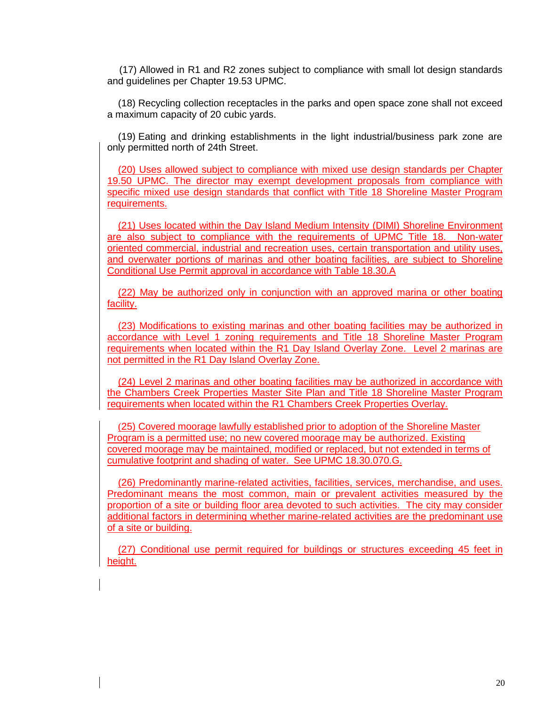(17) Allowed in R1 and R2 zones subject to compliance with small lot design standards and guidelines per Chapter 19.53 UPMC.

(18) Recycling collection receptacles in the parks and open space zone shall not exceed a maximum capacity of 20 cubic yards.

(19) Eating and drinking establishments in the light industrial/business park zone are only permitted north of 24th Street.

(20) Uses allowed subject to compliance with mixed use design standards per Chapter 19.50 UPMC. The director may exempt development proposals from compliance with specific mixed use design standards that conflict with Title 18 Shoreline Master Program requirements.

(21) Uses located within the Day Island Medium Intensity (DIMI) Shoreline Environment are also subject to compliance with the requirements of UPMC Title 18. Non-water oriented commercial, industrial and recreation uses, certain transportation and utility uses, and overwater portions of marinas and other boating facilities, are subject to Shoreline Conditional Use Permit approval in accordance with Table 18.30.A

(22) May be authorized only in conjunction with an approved marina or other boating facility.

(23) Modifications to existing marinas and other boating facilities may be authorized in accordance with Level 1 zoning requirements and Title 18 Shoreline Master Program requirements when located within the R1 Day Island Overlay Zone. Level 2 marinas are not permitted in the R1 Day Island Overlay Zone.

(24) Level 2 marinas and other boating facilities may be authorized in accordance with the Chambers Creek Properties Master Site Plan and Title 18 Shoreline Master Program requirements when located within the R1 Chambers Creek Properties Overlay.

(25) Covered moorage lawfully established prior to adoption of the Shoreline Master Program is a permitted use; no new covered moorage may be authorized. Existing covered moorage may be maintained, modified or replaced, but not extended in terms of cumulative footprint and shading of water. See UPMC 18.30.070.G.

(26) Predominantly marine-related activities, facilities, services, merchandise, and uses. Predominant means the most common, main or prevalent activities measured by the proportion of a site or building floor area devoted to such activities. The city may consider additional factors in determining whether marine-related activities are the predominant use of a site or building.

(27) Conditional use permit required for buildings or structures exceeding 45 feet in height.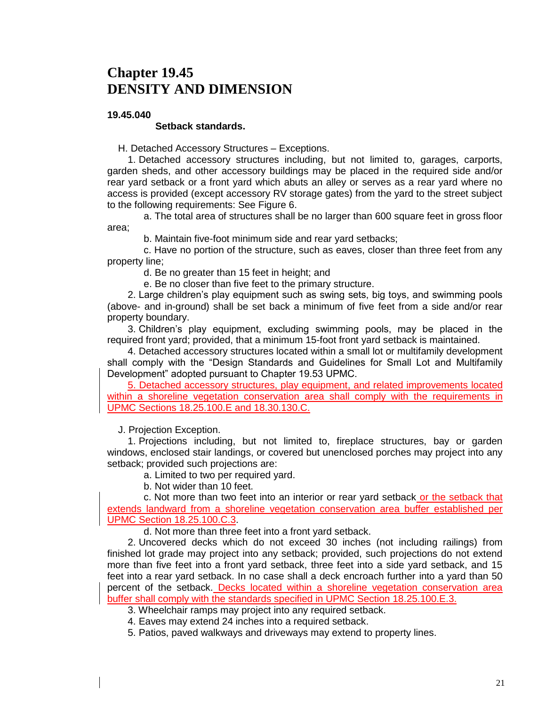### **Chapter 19.45 DENSITY AND DIMENSION**

#### **19.45.040**

#### **Setback standards.**

H. Detached Accessory Structures – Exceptions.

1. Detached accessory structures including, but not limited to, garages, carports, garden sheds, and other accessory buildings may be placed in the required side and/or rear yard setback or a front yard which abuts an alley or serves as a rear yard where no access is provided (except accessory RV storage gates) from the yard to the street subject to the following requirements: See Figure 6.

a. The total area of structures shall be no larger than 600 square feet in gross floor area;

b. Maintain five-foot minimum side and rear yard setbacks;

c. Have no portion of the structure, such as eaves, closer than three feet from any property line;

d. Be no greater than 15 feet in height; and

e. Be no closer than five feet to the primary structure.

2. Large children's play equipment such as swing sets, big toys, and swimming pools (above- and in-ground) shall be set back a minimum of five feet from a side and/or rear property boundary.

3. Children's play equipment, excluding swimming pools, may be placed in the required front yard; provided, that a minimum 15-foot front yard setback is maintained.

4. Detached accessory structures located within a small lot or multifamily development shall comply with the "Design Standards and Guidelines for Small Lot and Multifamily Development" adopted pursuant to Chapter 19.53 UPMC.

5. Detached accessory structures, play equipment, and related improvements located within a shoreline vegetation conservation area shall comply with the requirements in UPMC Sections 18.25.100.E and 18.30.130.C.

J. Projection Exception.

1. Projections including, but not limited to, fireplace structures, bay or garden windows, enclosed stair landings, or covered but unenclosed porches may project into any setback; provided such projections are:

a. Limited to two per required yard.

b. Not wider than 10 feet.

c. Not more than two feet into an interior or rear yard setback or the setback that extends landward from a shoreline vegetation conservation area buffer established per UPMC Section 18.25.100.C.3.

d. Not more than three feet into a front yard setback.

2. Uncovered decks which do not exceed 30 inches (not including railings) from finished lot grade may project into any setback; provided, such projections do not extend more than five feet into a front yard setback, three feet into a side yard setback, and 15 feet into a rear yard setback. In no case shall a deck encroach further into a yard than 50 percent of the setback. Decks located within a shoreline vegetation conservation area buffer shall comply with the standards specified in UPMC Section 18.25.100.E.3.

3. Wheelchair ramps may project into any required setback.

4. Eaves may extend 24 inches into a required setback.

5. Patios, paved walkways and driveways may extend to property lines.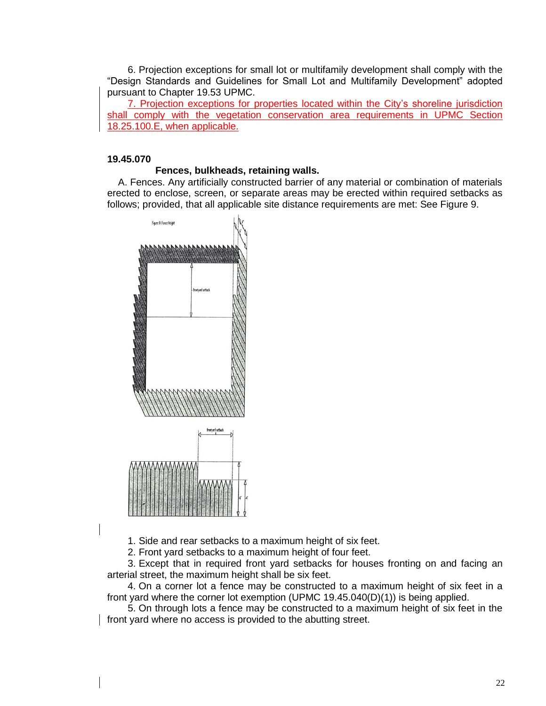6. Projection exceptions for small lot or multifamily development shall comply with the "Design Standards and Guidelines for Small Lot and Multifamily Development" adopted pursuant to Chapter 19.53 UPMC.

7. Projection exceptions for properties located within the City's shoreline jurisdiction shall comply with the vegetation conservation area requirements in UPMC Section 18.25.100.E, when applicable.

#### **19.45.070**

#### **Fences, bulkheads, retaining walls.**

A. Fences. Any artificially constructed barrier of any material or combination of materials erected to enclose, screen, or separate areas may be erected within required setbacks as follows; provided, that all applicable site distance requirements are met: See Figure 9.



1. Side and rear setbacks to a maximum height of six feet.

2. Front yard setbacks to a maximum height of four feet.

3. Except that in required front yard setbacks for houses fronting on and facing an arterial street, the maximum height shall be six feet.

4. On a corner lot a fence may be constructed to a maximum height of six feet in a front yard where the corner lot exemption (UPMC 19.45.040(D)(1)) is being applied.

5. On through lots a fence may be constructed to a maximum height of six feet in the front yard where no access is provided to the abutting street.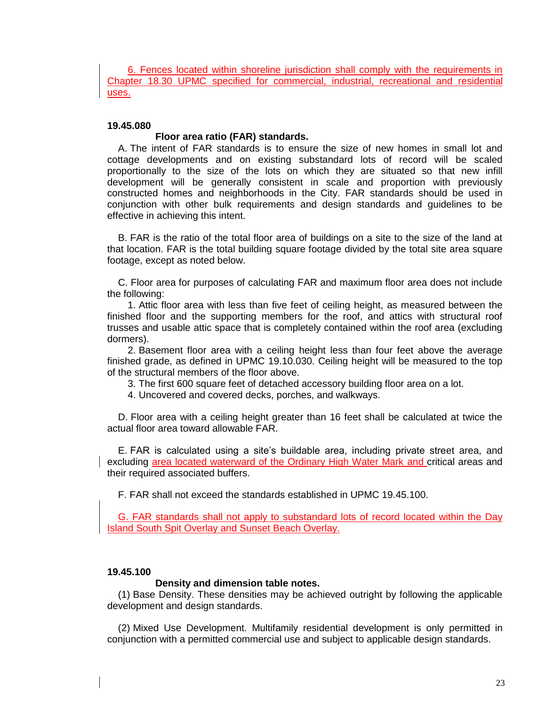6. Fences located within shoreline jurisdiction shall comply with the requirements in Chapter 18.30 UPMC specified for commercial, industrial, recreational and residential uses.

#### **19.45.080**

#### **Floor area ratio (FAR) standards.**

A. The intent of FAR standards is to ensure the size of new homes in small lot and cottage developments and on existing substandard lots of record will be scaled proportionally to the size of the lots on which they are situated so that new infill development will be generally consistent in scale and proportion with previously constructed homes and neighborhoods in the City. FAR standards should be used in conjunction with other bulk requirements and design standards and guidelines to be effective in achieving this intent.

B. FAR is the ratio of the total floor area of buildings on a site to the size of the land at that location. FAR is the total building square footage divided by the total site area square footage, except as noted below.

C. Floor area for purposes of calculating FAR and maximum floor area does not include the following:

1. Attic floor area with less than five feet of ceiling height, as measured between the finished floor and the supporting members for the roof, and attics with structural roof trusses and usable attic space that is completely contained within the roof area (excluding dormers).

2. Basement floor area with a ceiling height less than four feet above the average finished grade, as defined in UPMC 19.10.030. Ceiling height will be measured to the top of the structural members of the floor above.

3. The first 600 square feet of detached accessory building floor area on a lot.

4. Uncovered and covered decks, porches, and walkways.

D. Floor area with a ceiling height greater than 16 feet shall be calculated at twice the actual floor area toward allowable FAR.

E. FAR is calculated using a site's buildable area, including private street area, and excluding area located waterward of the Ordinary High Water Mark and critical areas and their required associated buffers.

F. FAR shall not exceed the standards established in UPMC 19.45.100.

G. FAR standards shall not apply to substandard lots of record located within the Day Island South Spit Overlay and Sunset Beach Overlay.

#### **19.45.100**

#### **Density and dimension table notes.**

(1) Base Density. These densities may be achieved outright by following the applicable development and design standards.

(2) Mixed Use Development. Multifamily residential development is only permitted in conjunction with a permitted commercial use and subject to applicable design standards.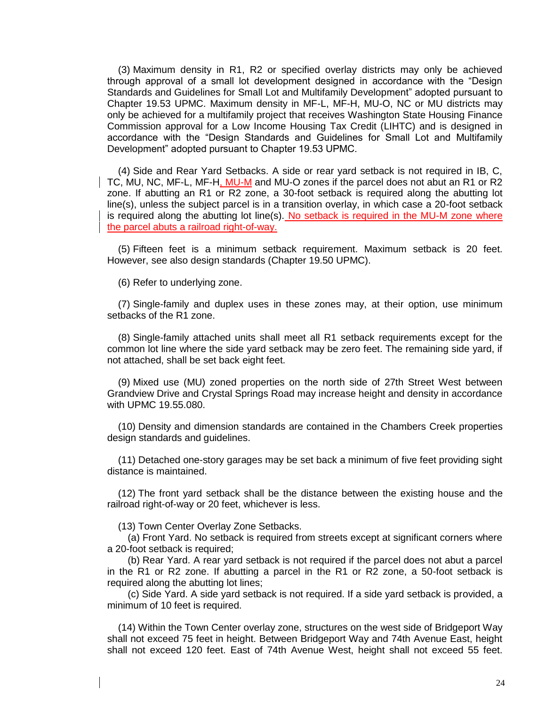(3) Maximum density in R1, R2 or specified overlay districts may only be achieved through approval of a small lot development designed in accordance with the "Design Standards and Guidelines for Small Lot and Multifamily Development" adopted pursuant to Chapter 19.53 UPMC. Maximum density in MF-L, MF-H, MU-O, NC or MU districts may only be achieved for a multifamily project that receives Washington State Housing Finance Commission approval for a Low Income Housing Tax Credit (LIHTC) and is designed in accordance with the "Design Standards and Guidelines for Small Lot and Multifamily Development" adopted pursuant to Chapter 19.53 UPMC.

(4) Side and Rear Yard Setbacks. A side or rear yard setback is not required in IB, C, TC, MU, NC, MF-L, MF-H, MU-M and MU-O zones if the parcel does not abut an R1 or R2 zone. If abutting an R1 or R2 zone, a 30-foot setback is required along the abutting lot line(s), unless the subject parcel is in a transition overlay, in which case a 20-foot setback is required along the abutting lot line(s). No setback is required in the MU-M zone where the parcel abuts a railroad right-of-way.

(5) Fifteen feet is a minimum setback requirement. Maximum setback is 20 feet. However, see also design standards (Chapter 19.50 UPMC).

(6) Refer to underlying zone.

(7) Single-family and duplex uses in these zones may, at their option, use minimum setbacks of the R1 zone.

(8) Single-family attached units shall meet all R1 setback requirements except for the common lot line where the side yard setback may be zero feet. The remaining side yard, if not attached, shall be set back eight feet.

(9) Mixed use (MU) zoned properties on the north side of 27th Street West between Grandview Drive and Crystal Springs Road may increase height and density in accordance with UPMC 19.55.080.

(10) Density and dimension standards are contained in the Chambers Creek properties design standards and guidelines.

(11) Detached one-story garages may be set back a minimum of five feet providing sight distance is maintained.

(12) The front yard setback shall be the distance between the existing house and the railroad right-of-way or 20 feet, whichever is less.

(13) Town Center Overlay Zone Setbacks.

(a) Front Yard. No setback is required from streets except at significant corners where a 20-foot setback is required;

(b) Rear Yard. A rear yard setback is not required if the parcel does not abut a parcel in the R1 or R2 zone. If abutting a parcel in the R1 or R2 zone, a 50-foot setback is required along the abutting lot lines;

(c) Side Yard. A side yard setback is not required. If a side yard setback is provided, a minimum of 10 feet is required.

(14) Within the Town Center overlay zone, structures on the west side of Bridgeport Way shall not exceed 75 feet in height. Between Bridgeport Way and 74th Avenue East, height shall not exceed 120 feet. East of 74th Avenue West, height shall not exceed 55 feet.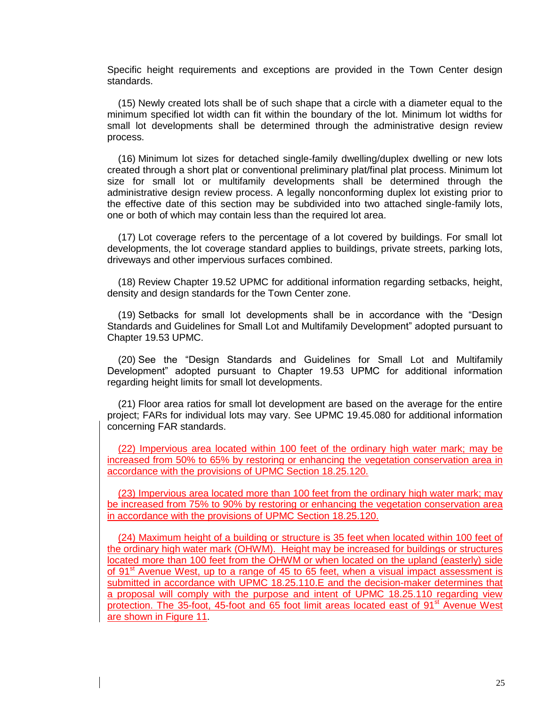Specific height requirements and exceptions are provided in the Town Center design standards.

(15) Newly created lots shall be of such shape that a circle with a diameter equal to the minimum specified lot width can fit within the boundary of the lot. Minimum lot widths for small lot developments shall be determined through the administrative design review process.

(16) Minimum lot sizes for detached single-family dwelling/duplex dwelling or new lots created through a short plat or conventional preliminary plat/final plat process. Minimum lot size for small lot or multifamily developments shall be determined through the administrative design review process. A legally nonconforming duplex lot existing prior to the effective date of this section may be subdivided into two attached single-family lots, one or both of which may contain less than the required lot area.

(17) Lot coverage refers to the percentage of a lot covered by buildings. For small lot developments, the lot coverage standard applies to buildings, private streets, parking lots, driveways and other impervious surfaces combined.

(18) Review Chapter 19.52 UPMC for additional information regarding setbacks, height, density and design standards for the Town Center zone.

(19) Setbacks for small lot developments shall be in accordance with the "Design Standards and Guidelines for Small Lot and Multifamily Development" adopted pursuant to Chapter 19.53 UPMC.

(20) See the "Design Standards and Guidelines for Small Lot and Multifamily Development" adopted pursuant to Chapter 19.53 UPMC for additional information regarding height limits for small lot developments.

(21) Floor area ratios for small lot development are based on the average for the entire project; FARs for individual lots may vary. See UPMC 19.45.080 for additional information concerning FAR standards.

(22) Impervious area located within 100 feet of the ordinary high water mark; may be increased from 50% to 65% by restoring or enhancing the vegetation conservation area in accordance with the provisions of UPMC Section 18.25.120.

(23) Impervious area located more than 100 feet from the ordinary high water mark; may be increased from 75% to 90% by restoring or enhancing the vegetation conservation area in accordance with the provisions of UPMC Section 18.25.120.

(24) Maximum height of a building or structure is 35 feet when located within 100 feet of the ordinary high water mark (OHWM). Height may be increased for buildings or structures located more than 100 feet from the OHWM or when located on the upland (easterly) side of 91<sup>st</sup> Avenue West, up to a range of 45 to 65 feet, when a visual impact assessment is submitted in accordance with UPMC 18.25.110.E and the decision-maker determines that a proposal will comply with the purpose and intent of UPMC 18.25.110 regarding view protection. The 35-foot, 45-foot and 65 foot limit areas located east of  $91<sup>st</sup>$  Avenue West are shown in Figure 11.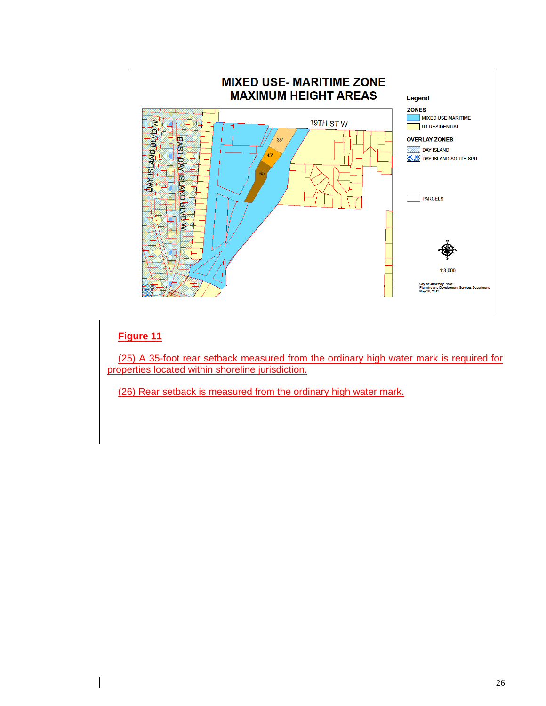

#### **Figure 11**

(25) A 35-foot rear setback measured from the ordinary high water mark is required for properties located within shoreline jurisdiction.

(26) Rear setback is measured from the ordinary high water mark.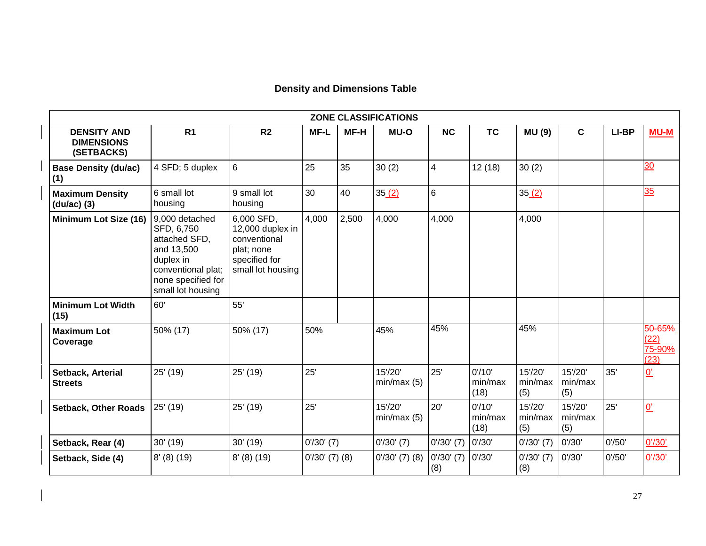|  |  | <b>Density and Dimensions Table</b> |  |
|--|--|-------------------------------------|--|
|--|--|-------------------------------------|--|

|                                                       |                                                                                                                                           |                                                                                                    |                  |       | ZONE CLASSIFICATIONS  |                     |                           |                           |                           |        |                                  |
|-------------------------------------------------------|-------------------------------------------------------------------------------------------------------------------------------------------|----------------------------------------------------------------------------------------------------|------------------|-------|-----------------------|---------------------|---------------------------|---------------------------|---------------------------|--------|----------------------------------|
| <b>DENSITY AND</b><br><b>DIMENSIONS</b><br>(SETBACKS) | R <sub>1</sub>                                                                                                                            | R <sub>2</sub>                                                                                     | MF-L             | MF-H  | <b>MU-O</b>           | NC                  | <b>TC</b>                 | <b>MU(9)</b>              | $\mathbf c$               | LI-BP  | <b>MU-M</b>                      |
| <b>Base Density (du/ac)</b><br>(1)                    | 4 SFD; 5 duplex                                                                                                                           | 6                                                                                                  | 25               | 35    | 30(2)                 | 4                   | 12(18)                    | 30(2)                     |                           |        | 30                               |
| <b>Maximum Density</b><br>(du/ac) (3)                 | 6 small lot<br>housing                                                                                                                    | 9 small lot<br>housing                                                                             | 30               | 40    | 35(2)                 | 6                   |                           | 35(2)                     |                           |        | 35                               |
| Minimum Lot Size (16)                                 | 9,000 detached<br>SFD, 6,750<br>attached SFD,<br>and 13,500<br>duplex in<br>conventional plat;<br>none specified for<br>small lot housing | 6,000 SFD,<br>12,000 duplex in<br>conventional<br>plat; none<br>specified for<br>small lot housing | 4,000            | 2,500 | 4,000                 | 4,000               |                           | 4,000                     |                           |        |                                  |
| <b>Minimum Lot Width</b><br>(15)                      | 60'                                                                                                                                       | 55'                                                                                                |                  |       |                       |                     |                           |                           |                           |        |                                  |
| <b>Maximum Lot</b><br>Coverage                        | 50% (17)                                                                                                                                  | 50% (17)                                                                                           | 50%              |       | 45%                   | 45%                 |                           | 45%                       |                           |        | 50-65%<br>(22)<br>75-90%<br>(23) |
| Setback, Arterial<br><b>Streets</b>                   | 25' (19)                                                                                                                                  | 25' (19)                                                                                           | 25'              |       | 15'/20'<br>min/max(5) | 25'                 | 0'/10'<br>min/max<br>(18) | 15'/20'<br>min/max<br>(5) | 15'/20'<br>min/max<br>(5) | 35'    | $\overline{0}$                   |
| <b>Setback, Other Roads</b>                           | 25' (19)                                                                                                                                  | 25' (19)                                                                                           | 25'              |       | 15'/20'<br>min/max(5) | 20'                 | 0'/10'<br>min/max<br>(18) | 15'/20'<br>min/max<br>(5) | 15'/20'<br>min/max<br>(5) | 25'    | $\underline{0}$                  |
| Setback, Rear (4)                                     | 30' (19)                                                                                                                                  | 30' (19)                                                                                           | $0'/30'$ (7)     |       | $0'/30'$ (7)          | $0'/30'$ (7)        | 0'/30'                    | $0'/30'$ (7)              | 0'/30'                    | 0'/50' | 0' / 30'                         |
| Setback, Side (4)                                     | $8'$ (8) (19)                                                                                                                             | $8'$ (8) (19)                                                                                      | $0'/30'$ (7) (8) |       | $0'/30'$ $(7)$ $(8)$  | $0'/30'$ (7)<br>(8) | 0'/30'                    | $0'$ /30' (7)<br>(8)      | 0'/30'                    | 0'/50' | 0' / 30'                         |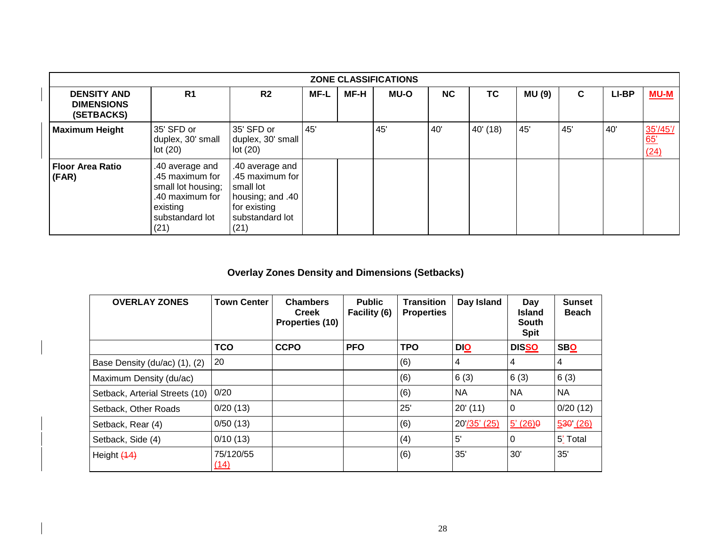|                                                       | <b>ZONE CLASSIFICATIONS</b>                                                                                        |                                                                                                                |      |      |             |     |           |        |     |       |                        |  |  |
|-------------------------------------------------------|--------------------------------------------------------------------------------------------------------------------|----------------------------------------------------------------------------------------------------------------|------|------|-------------|-----|-----------|--------|-----|-------|------------------------|--|--|
| <b>DENSITY AND</b><br><b>DIMENSIONS</b><br>(SETBACKS) | R <sub>1</sub>                                                                                                     | R2                                                                                                             | MF-L | MF-H | <b>MU-O</b> | NC  | <b>TC</b> | MU (9) | C   | LI-BP | $MU-M$                 |  |  |
| <b>Maximum Height</b>                                 | 35' SFD or<br>duplex, 30' small<br>lot(20)                                                                         | 35' SFD or<br>duplex, 30' small<br>lot(20)                                                                     | 45'  |      | 45'         | 40' | 40' (18)  | 45'    | 45' | 40'   | 35'/45'<br>65'<br>(24) |  |  |
| <b>Floor Area Ratio</b><br>(FAR)                      | .40 average and<br>.45 maximum for<br>small lot housing;<br>.40 maximum for<br>existing<br>substandard lot<br>(21) | .40 average and<br>.45 maximum for<br>small lot<br>housing; and .40<br>for existing<br>substandard lot<br>(21) |      |      |             |     |           |        |     |       |                        |  |  |

### **Overlay Zones Density and Dimensions (Setbacks)**

| <b>OVERLAY ZONES</b>           | <b>Town Center</b> | <b>Chambers</b><br><b>Creek</b><br>Properties (10) | <b>Public</b><br>Facility (6) | <b>Transition</b><br><b>Properties</b> | Day Island     | Day<br><b>Island</b><br><b>South</b><br><b>Spit</b> | <b>Sunset</b><br><b>Beach</b> |
|--------------------------------|--------------------|----------------------------------------------------|-------------------------------|----------------------------------------|----------------|-----------------------------------------------------|-------------------------------|
|                                | <b>TCO</b>         | <b>CCPO</b>                                        | <b>PFO</b>                    | <b>TPO</b>                             | <b>DIO</b>     | <b>DISSO</b>                                        | <b>SBO</b>                    |
| Base Density (du/ac) (1), (2)  | 20                 |                                                    |                               | (6)                                    | $\overline{4}$ | 4                                                   | 4                             |
| Maximum Density (du/ac)        |                    |                                                    |                               | (6)                                    | 6(3)           | 6(3)                                                | 6(3)                          |
| Setback, Arterial Streets (10) | 0/20               |                                                    |                               | (6)                                    | <b>NA</b>      | <b>NA</b>                                           | NA                            |
| Setback, Other Roads           | 0/20(13)           |                                                    |                               | 25'                                    | $20'$ (11)     | 0                                                   | 0/20(12)                      |
| Setback, Rear (4)              | 0/50(13)           |                                                    |                               | (6)                                    | 20'/35' (25)   | $5'(26) \theta$                                     | 530(26)                       |
| Setback, Side (4)              | 0/10(13)           |                                                    |                               | (4)                                    | $5^{\prime}$   | 0                                                   | 5' Total                      |
| Height (14)                    | 75/120/55<br>(14)  |                                                    |                               | (6)                                    | 35'            | 30'                                                 | 35'                           |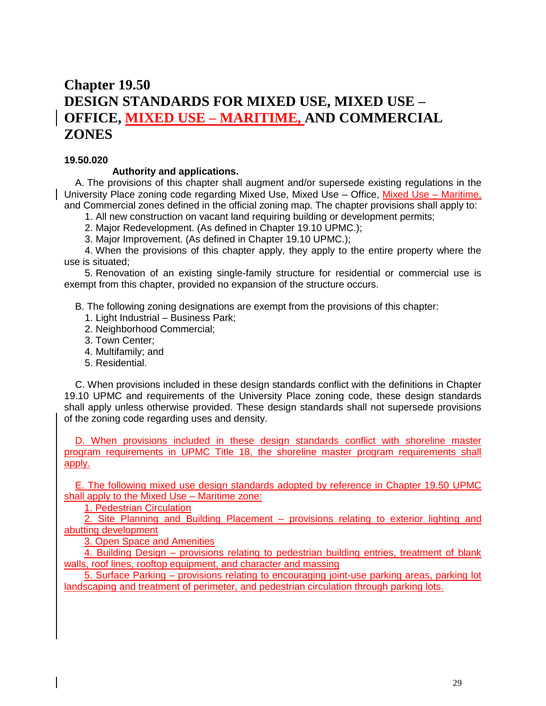### **Chapter 19.50 DESIGN STANDARDS FOR MIXED USE, MIXED USE – OFFICE, MIXED USE – MARITIME, AND COMMERCIAL ZONES**

#### **19.50.020**

#### **Authority and applications.**

A. The provisions of this chapter shall augment and/or supersede existing regulations in the University Place zoning code regarding Mixed Use, Mixed Use – Office, Mixed Use – Maritime, and Commercial zones defined in the official zoning map. The chapter provisions shall apply to:

1. All new construction on vacant land requiring building or development permits;

2. Major Redevelopment. (As defined in Chapter 19.10 UPMC.);

3. Major Improvement. (As defined in Chapter 19.10 UPMC.);

4. When the provisions of this chapter apply, they apply to the entire property where the use is situated;

5. Renovation of an existing single-family structure for residential or commercial use is exempt from this chapter, provided no expansion of the structure occurs.

B. The following zoning designations are exempt from the provisions of this chapter:

- 1. Light Industrial Business Park;
- 2. Neighborhood Commercial;
- 3. Town Center;
- 4. Multifamily; and
- 5. Residential.

C. When provisions included in these design standards conflict with the definitions in Chapter 19.10 UPMC and requirements of the University Place zoning code, these design standards shall apply unless otherwise provided. These design standards shall not supersede provisions of the zoning code regarding uses and density.

D. When provisions included in these design standards conflict with shoreline master program requirements in UPMC Title 18, the shoreline master program requirements shall apply.

E. The following mixed use design standards adopted by reference in Chapter 19.50 UPMC shall apply to the Mixed Use – Maritime zone:

1. Pedestrian Circulation

2. Site Planning and Building Placement – provisions relating to exterior lighting and abutting development

3. Open Space and Amenities

4. Building Design – provisions relating to pedestrian building entries, treatment of blank walls, roof lines, rooftop equipment, and character and massing

5. Surface Parking – provisions relating to encouraging joint-use parking areas, parking lot landscaping and treatment of perimeter, and pedestrian circulation through parking lots.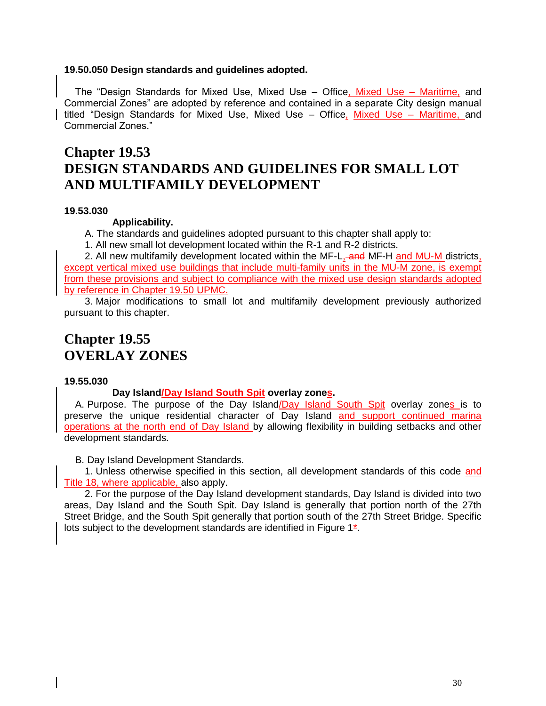#### **19.50.050 Design standards and guidelines adopted.**

The "Design Standards for Mixed Use, Mixed Use – Office, Mixed Use – Maritime, and Commercial Zones" are adopted by reference and contained in a separate City design manual titled "Design Standards for Mixed Use, Mixed Use – Office, Mixed Use – Maritime, and Commercial Zones."

### **Chapter 19.53 DESIGN STANDARDS AND GUIDELINES FOR SMALL LOT AND MULTIFAMILY DEVELOPMENT**

#### **19.53.030**

#### **Applicability.**

A. The standards and guidelines adopted pursuant to this chapter shall apply to:

1. All new small lot development located within the R-1 and R-2 districts.

2. All new multifamily development located within the MF-L, and MF-H and MU-M districts, except vertical mixed use buildings that include multi-family units in the MU-M zone, is exempt from these provisions and subject to compliance with the mixed use design standards adopted by reference in Chapter 19.50 UPMC.

3. Major modifications to small lot and multifamily development previously authorized pursuant to this chapter.

### **Chapter 19.55 OVERLAY ZONES**

#### **19.55.030**

#### **Day Island/Day Island South Spit overlay zones.**

A. Purpose. The purpose of the Day Island/Day Island South Spit overlay zones is to preserve the unique residential character of Day Island and support continued marina operations at the north end of Day Island by allowing flexibility in building setbacks and other development standards.

B. Day Island Development Standards.

1. Unless otherwise specified in this section, all development standards of this code and Title 18, where applicable, also apply.

2. For the purpose of the Day Island development standards, Day Island is divided into two areas, Day Island and the South Spit. Day Island is generally that portion north of the 27th Street Bridge, and the South Spit generally that portion south of the 27th Street Bridge. Specific lots subject to the development standards are identified in Figure 1\*.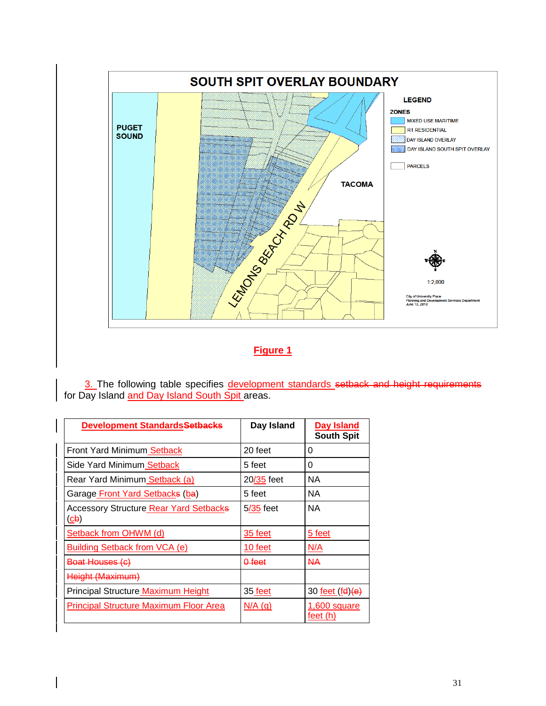

### **Figure 1**

3. The following table specifies development standards setback and height requirements for Day Island and Day Island South Spit areas.

| <b>Development Standards<del>Setbacks</del></b>          | Day Island        | Day Island<br><b>South Spit</b> |
|----------------------------------------------------------|-------------------|---------------------------------|
| Front Yard Minimum Setback                               | 20 feet           | 0                               |
| Side Yard Minimum Setback                                | 5 feet            | 0                               |
| Rear Yard Minimum Setback (a)                            | 20/35 feet        | NA.                             |
| Garage Front Yard Setbacks (ba)                          | 5 feet            | NA.                             |
| <b>Accessory Structure Rear Yard Setbacks</b><br>$(d_2)$ | $5/35$ feet       | <b>NA</b>                       |
| Setback from OHWM (d)                                    | 35 feet           | 5 feet                          |
| Building Setback from VCA (e)                            | 10 feet           | N/A                             |
| <del>Boat Houses (c)</del>                               | <del>0 feet</del> | NА                              |
| Height (Maximum)                                         |                   |                                 |
| Principal Structure Maximum Height                       | 35 feet           | 30 <u>feet (fd)</u> (e)         |
| <b>Principal Structure Maximum Floor Area</b>            | $N/A$ (g)         | 1,600 square<br>feet (h)        |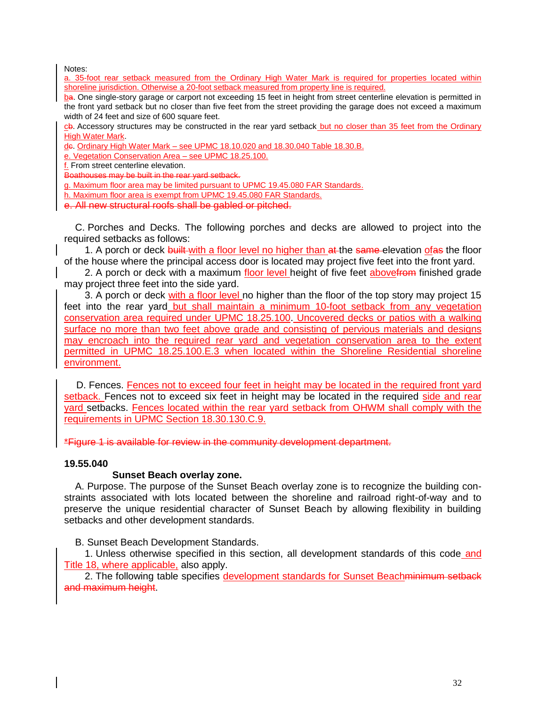Notes:

a. 35-foot rear setback measured from the Ordinary High Water Mark is required for properties located within shoreline jurisdiction. Otherwise a 20-foot setback measured from property line is required.

ba. One single-story garage or carport not exceeding 15 feet in height from street centerline elevation is permitted in the front yard setback but no closer than five feet from the street providing the garage does not exceed a maximum width of 24 feet and size of 600 square feet.

cb. Accessory structures may be constructed in the rear yard setback but no closer than 35 feet from the Ordinary High Water Mark.

de. Ordinary High Water Mark – see UPMC 18.10.020 and 18.30.040 Table 18.30.B.

e. Vegetation Conservation Area – see UPMC 18.25.100.

f. From street centerline elevation.

Boathouses may be built in the rear yard setback.

g. Maximum floor area may be limited pursuant to UPMC 19.45.080 FAR Standards.

h. Maximum floor area is exempt from UPMC 19.45.080 FAR Standards.

e. All new structural roofs shall be gabled or pitched.

C. Porches and Decks. The following porches and decks are allowed to project into the required setbacks as follows:

1. A porch or deck built with a floor level no higher than at the same elevation of as the floor of the house where the principal access door is located may project five feet into the front yard.

2. A porch or deck with a maximum floor level height of five feet abovefrom finished grade may project three feet into the side yard.

3. A porch or deck with a floor level no higher than the floor of the top story may project 15 feet into the rear yard but shall maintain a minimum 10-foot setback from any vegetation conservation area required under UPMC 18.25.100. Uncovered decks or patios with a walking surface no more than two feet above grade and consisting of pervious materials and designs may encroach into the required rear yard and vegetation conservation area to the extent permitted in UPMC 18.25.100.E.3 when located within the Shoreline Residential shoreline environment.

D. Fences. Fences not to exceed four feet in height may be located in the required front yard setback. Fences not to exceed six feet in height may be located in the required side and rear yard setbacks. Fences located within the rear yard setback from OHWM shall comply with the requirements in UPMC Section 18.30.130.C.9.

\*Figure 1 is available for review in the community development department.

#### **19.55.040**

#### **Sunset Beach overlay zone.**

A. Purpose. The purpose of the Sunset Beach overlay zone is to recognize the building constraints associated with lots located between the shoreline and railroad right-of-way and to preserve the unique residential character of Sunset Beach by allowing flexibility in building setbacks and other development standards.

B. Sunset Beach Development Standards.

1. Unless otherwise specified in this section, all development standards of this code and Title 18, where applicable, also apply.

2. The following table specifies development standards for Sunset Beachminimum setback and maximum height.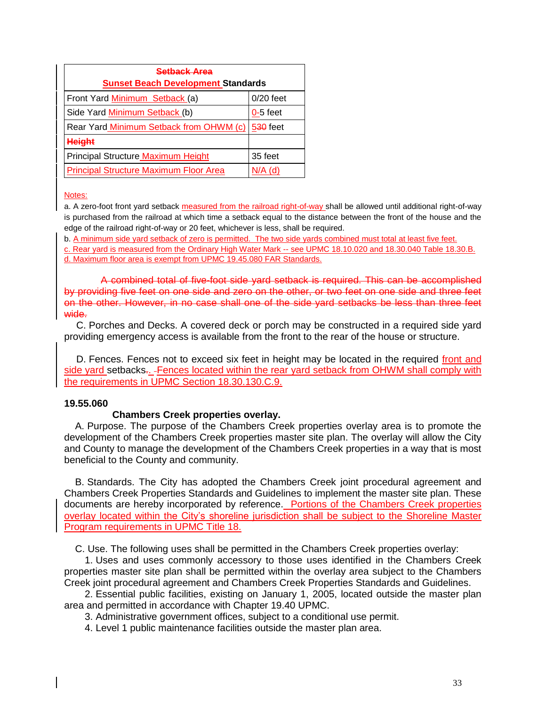| Setback Area                                  |                 |  |  |
|-----------------------------------------------|-----------------|--|--|
| <b>Sunset Beach Development Standards</b>     |                 |  |  |
| Front Yard Minimum Setback (a)                | $0/20$ feet     |  |  |
| Side Yard Minimum Setback (b)                 | $0-5$ feet      |  |  |
| Rear Yard Minimum Setback from OHWM (c)       | <b>530 feet</b> |  |  |
| <b>Height</b>                                 |                 |  |  |
| Principal Structure Maximum Height            | 35 feet         |  |  |
| <b>Principal Structure Maximum Floor Area</b> | $N/A$ (d)       |  |  |

Notes:

a. A zero-foot front yard setback measured from the railroad right-of-way shall be allowed until additional right-of-way is purchased from the railroad at which time a setback equal to the distance between the front of the house and the edge of the railroad right-of-way or 20 feet, whichever is less, shall be required.

b. A minimum side yard setback of zero is permitted. The two side yards combined must total at least five feet.

c. Rear yard is measured from the Ordinary High Water Mark -- see UPMC 18.10.020 and 18.30.040 Table 18.30.B. d. Maximum floor area is exempt from UPMC 19.45.080 FAR Standards.

A combined total of five-foot side yard setback is required. This can be accomplished by providing five feet on one side and zero on the other, or two feet on one side and three feet on the other. However, in no case shall one of the side yard setbacks be less than three feet wide.

C. Porches and Decks. A covered deck or porch may be constructed in a required side yard providing emergency access is available from the front to the rear of the house or structure.

D. Fences. Fences not to exceed six feet in height may be located in the required front and side yard setbacks. - Fences located within the rear yard setback from OHWM shall comply with the requirements in UPMC Section 18.30.130.C.9.

#### **19.55.060**

#### **Chambers Creek properties overlay.**

A. Purpose. The purpose of the Chambers Creek properties overlay area is to promote the development of the Chambers Creek properties master site plan. The overlay will allow the City and County to manage the development of the Chambers Creek properties in a way that is most beneficial to the County and community.

B. Standards. The City has adopted the Chambers Creek joint procedural agreement and Chambers Creek Properties Standards and Guidelines to implement the master site plan. These documents are hereby incorporated by reference. Portions of the Chambers Creek properties overlay located within the City's shoreline jurisdiction shall be subject to the Shoreline Master Program requirements in UPMC Title 18.

C. Use. The following uses shall be permitted in the Chambers Creek properties overlay:

1. Uses and uses commonly accessory to those uses identified in the Chambers Creek properties master site plan shall be permitted within the overlay area subject to the Chambers Creek joint procedural agreement and Chambers Creek Properties Standards and Guidelines.

2. Essential public facilities, existing on January 1, 2005, located outside the master plan area and permitted in accordance with Chapter 19.40 UPMC.

3. Administrative government offices, subject to a conditional use permit.

4. Level 1 public maintenance facilities outside the master plan area.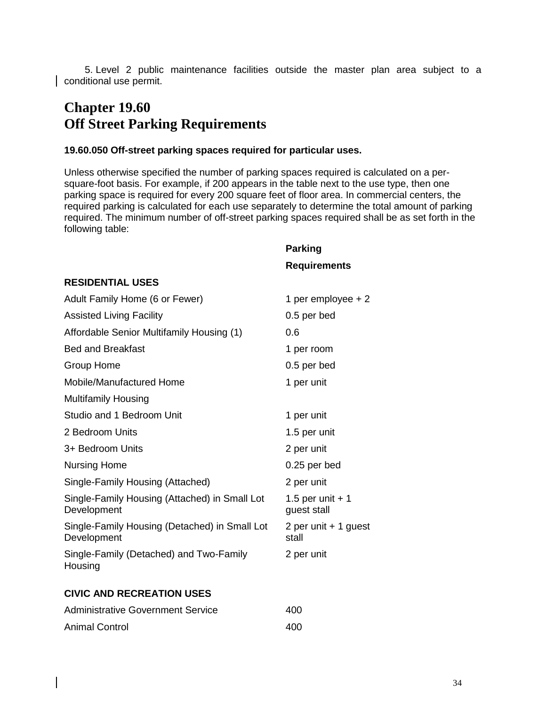5. Level 2 public maintenance facilities outside the master plan area subject to a conditional use permit.

### **Chapter 19.60 Off Street Parking Requirements**

#### **19.60.050 Off-street parking spaces required for particular uses.**

Unless otherwise specified the number of parking spaces required is calculated on a persquare-foot basis. For example, if 200 appears in the table next to the use type, then one parking space is required for every 200 square feet of floor area. In commercial centers, the required parking is calculated for each use separately to determine the total amount of parking required. The minimum number of off-street parking spaces required shall be as set forth in the following table:

**Parking** 

|                                                              | <b>Requirements</b>              |
|--------------------------------------------------------------|----------------------------------|
| <b>RESIDENTIAL USES</b>                                      |                                  |
| Adult Family Home (6 or Fewer)                               | 1 per employee $+2$              |
| <b>Assisted Living Facility</b>                              | 0.5 per bed                      |
| Affordable Senior Multifamily Housing (1)                    | 0.6                              |
| <b>Bed and Breakfast</b>                                     | 1 per room                       |
| <b>Group Home</b>                                            | 0.5 per bed                      |
| Mobile/Manufactured Home                                     | 1 per unit                       |
| <b>Multifamily Housing</b>                                   |                                  |
| Studio and 1 Bedroom Unit                                    | 1 per unit                       |
| 2 Bedroom Units                                              | 1.5 per unit                     |
| 3+ Bedroom Units                                             | 2 per unit                       |
| <b>Nursing Home</b>                                          | 0.25 per bed                     |
| Single-Family Housing (Attached)                             | 2 per unit                       |
| Single-Family Housing (Attached) in Small Lot<br>Development | 1.5 per unit $+1$<br>guest stall |
| Single-Family Housing (Detached) in Small Lot<br>Development | 2 per unit + 1 guest<br>stall    |
| Single-Family (Detached) and Two-Family<br>Housing           | 2 per unit                       |
| <b>CIVIC AND RECREATION USES</b>                             |                                  |
| <b>Administrative Government Service</b>                     | 400                              |
|                                                              |                                  |

| <b>Animal Control</b> | 400 |
|-----------------------|-----|
|                       |     |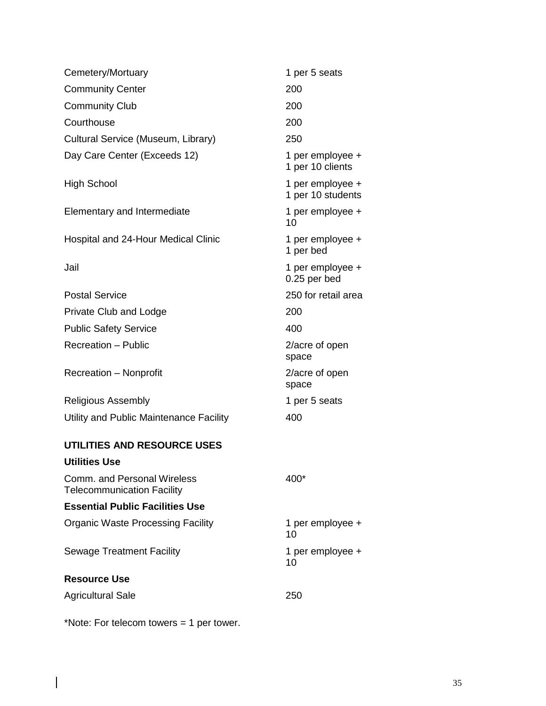| Cemetery/Mortuary                                                       | 1 per 5 seats                         |  |
|-------------------------------------------------------------------------|---------------------------------------|--|
| <b>Community Center</b>                                                 | 200                                   |  |
| <b>Community Club</b>                                                   | 200                                   |  |
| Courthouse                                                              | 200                                   |  |
| Cultural Service (Museum, Library)                                      | 250                                   |  |
| Day Care Center (Exceeds 12)                                            | 1 per employee +<br>1 per 10 clients  |  |
| <b>High School</b>                                                      | 1 per employee +<br>1 per 10 students |  |
| Elementary and Intermediate                                             | 1 per employee +<br>10                |  |
| Hospital and 24-Hour Medical Clinic                                     | 1 per employee +<br>1 per bed         |  |
| Jail                                                                    | 1 per employee +<br>0.25 per bed      |  |
| <b>Postal Service</b>                                                   | 250 for retail area                   |  |
| <b>Private Club and Lodge</b>                                           | 200                                   |  |
| <b>Public Safety Service</b>                                            | 400                                   |  |
| <b>Recreation - Public</b>                                              | 2/acre of open<br>space               |  |
| Recreation - Nonprofit                                                  | 2/acre of open<br>space               |  |
| <b>Religious Assembly</b>                                               | 1 per 5 seats                         |  |
| Utility and Public Maintenance Facility                                 | 400                                   |  |
| UTILITIES AND RESOURCE USES                                             |                                       |  |
| Utilities Use                                                           |                                       |  |
| <b>Comm. and Personal Wireless</b><br><b>Telecommunication Facility</b> | 400*                                  |  |
| <b>Essential Public Facilities Use</b>                                  |                                       |  |
| <b>Organic Waste Processing Facility</b>                                | 1 per employee +<br>10                |  |
| <b>Sewage Treatment Facility</b>                                        | 1 per employee +<br>10                |  |
| <b>Resource Use</b>                                                     |                                       |  |
| <b>Agricultural Sale</b>                                                | 250                                   |  |

\*Note: For telecom towers = 1 per tower.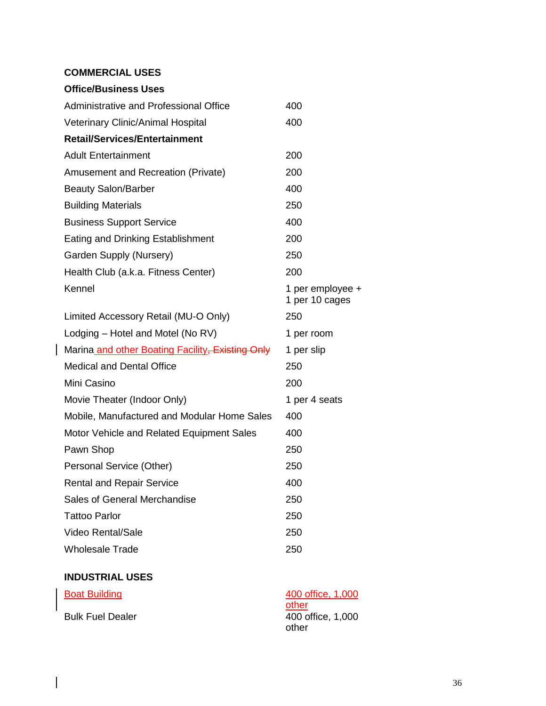#### **COMMERCIAL USES**

| <b>Office/Business Uses</b>                      |                                    |
|--------------------------------------------------|------------------------------------|
| Administrative and Professional Office           | 400                                |
| Veterinary Clinic/Animal Hospital                | 400                                |
| <b>Retail/Services/Entertainment</b>             |                                    |
| <b>Adult Entertainment</b>                       | 200                                |
| Amusement and Recreation (Private)               | 200                                |
| <b>Beauty Salon/Barber</b>                       | 400                                |
| <b>Building Materials</b>                        | 250                                |
| <b>Business Support Service</b>                  | 400                                |
| <b>Eating and Drinking Establishment</b>         | 200                                |
| Garden Supply (Nursery)                          | 250                                |
| Health Club (a.k.a. Fitness Center)              | 200                                |
| Kennel                                           | 1 per employee +<br>1 per 10 cages |
| Limited Accessory Retail (MU-O Only)             | 250                                |
| Lodging – Hotel and Motel (No RV)                | 1 per room                         |
| Marina and other Boating Facility, Existing Only | 1 per slip                         |
| <b>Medical and Dental Office</b>                 | 250                                |
| Mini Casino                                      | 200                                |
|                                                  |                                    |
| Movie Theater (Indoor Only)                      | 1 per 4 seats                      |
| Mobile, Manufactured and Modular Home Sales      | 400                                |
| Motor Vehicle and Related Equipment Sales        | 400                                |
| Pawn Shop                                        | 250                                |
| Personal Service (Other)                         | 250                                |
| <b>Rental and Repair Service</b>                 | 400                                |
| Sales of General Merchandise                     | 250                                |
| <b>Tattoo Parlor</b>                             | 250                                |
| <b>Video Rental/Sale</b>                         | 250                                |
| <b>Wholesale Trade</b>                           | 250                                |

#### **INDUSTRIAL USES**

 $\overline{\phantom{a}}$ 

| <b>Boat Building</b>    | 400 office, 1,000 |
|-------------------------|-------------------|
|                         | other             |
| <b>Bulk Fuel Dealer</b> | 400 office, 1,000 |
|                         | other             |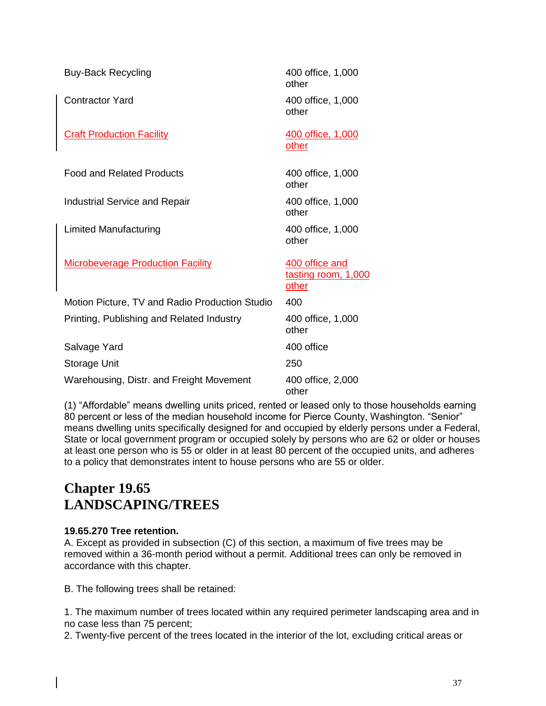| <b>Buy-Back Recycling</b>                      | 400 office, 1,000<br>other                            |
|------------------------------------------------|-------------------------------------------------------|
| Contractor Yard                                | 400 office, 1,000<br>other                            |
| <b>Craft Production Facility</b>               | 400 office, 1,000<br>other                            |
| <b>Food and Related Products</b>               | 400 office, 1,000<br>other                            |
| Industrial Service and Repair                  | 400 office, 1,000<br>other                            |
| Limited Manufacturing                          | 400 office, 1,000<br>other                            |
| <b>Microbeverage Production Facility</b>       | 400 office and<br>tasting room, 1,000<br><u>other</u> |
| Motion Picture, TV and Radio Production Studio | 400                                                   |
| Printing, Publishing and Related Industry      | 400 office, 1,000<br>other                            |
| Salvage Yard                                   | 400 office                                            |
| <b>Storage Unit</b>                            | 250                                                   |
| Warehousing, Distr. and Freight Movement       | 400 office, 2,000<br>other                            |

(1) "Affordable" means dwelling units priced, rented or leased only to those households earning 80 percent or less of the median household income for Pierce County, Washington. "Senior" means dwelling units specifically designed for and occupied by elderly persons under a Federal, State or local government program or occupied solely by persons who are 62 or older or houses at least one person who is 55 or older in at least 80 percent of the occupied units, and adheres to a policy that demonstrates intent to house persons who are 55 or older.

### **Chapter 19.65 LANDSCAPING/TREES**

#### **19.65.270 Tree retention.**

A. Except as provided in subsection (C) of this section, a maximum of five trees may be removed within a 36-month period without a permit. Additional trees can only be removed in accordance with this chapter.

B. The following trees shall be retained:

1. The maximum number of trees located within any required perimeter landscaping area and in no case less than 75 percent;

2. Twenty-five percent of the trees located in the interior of the lot, excluding critical areas or